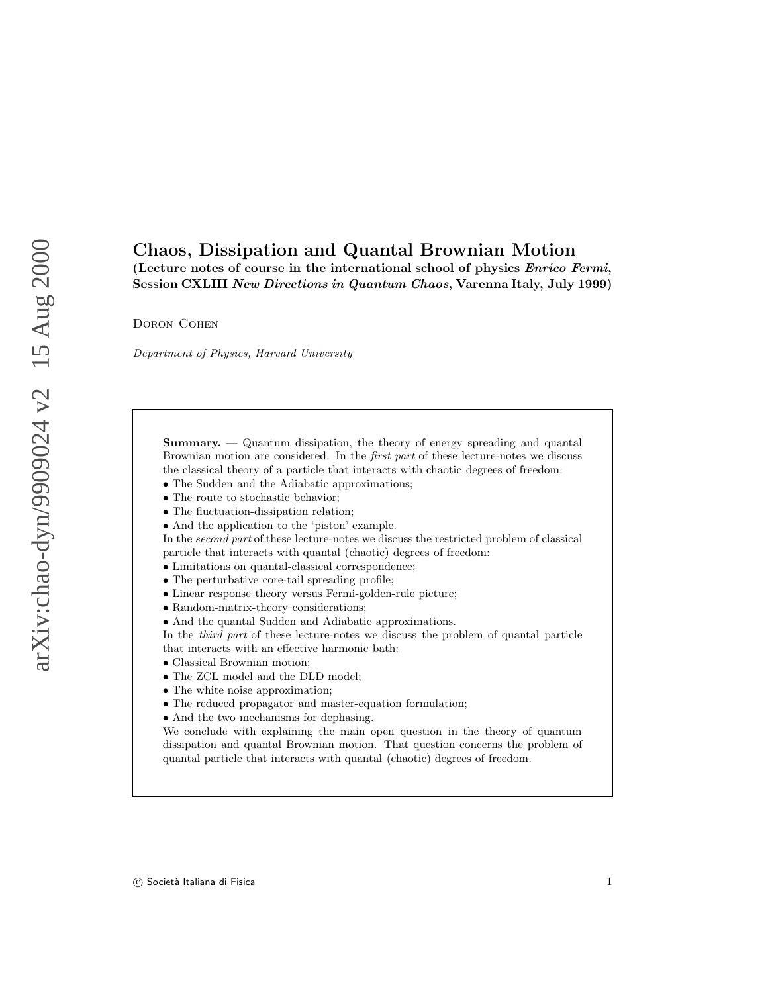# Chaos, Dissipation and Quantal Brownian Motion

(Lecture notes of course in the international school of physics Enrico Fermi, Session CXLIII New Directions in Quantum Chaos, Varenna Italy, July 1999)

Doron Cohen

Department of Physics, Harvard University

Summary. — Quantum dissipation, the theory of energy spreading and quantal Brownian motion are considered. In the first part of these lecture-notes we discuss the classical theory of a particle that interacts with chaotic degrees of freedom:

- The Sudden and the Adiabatic approximations;
- The route to stochastic behavior;
- The fluctuation-dissipation relation;
- And the application to the 'piston' example.

In the second part of these lecture-notes we discuss the restricted problem of classical particle that interacts with quantal (chaotic) degrees of freedom:

- Limitations on quantal-classical correspondence;
- The perturbative core-tail spreading profile;
- Linear response theory versus Fermi-golden-rule picture;
- Random-matrix-theory considerations;
- And the quantal Sudden and Adiabatic approximations.

In the third part of these lecture-notes we discuss the problem of quantal particle that interacts with an effective harmonic bath:

- Classical Brownian motion;
- The ZCL model and the DLD model;
- The white noise approximation;
- The reduced propagator and master-equation formulation;
- And the two mechanisms for dephasing.

We conclude with explaining the main open question in the theory of quantum dissipation and quantal Brownian motion. That question concerns the problem of quantal particle that interacts with quantal (chaotic) degrees of freedom.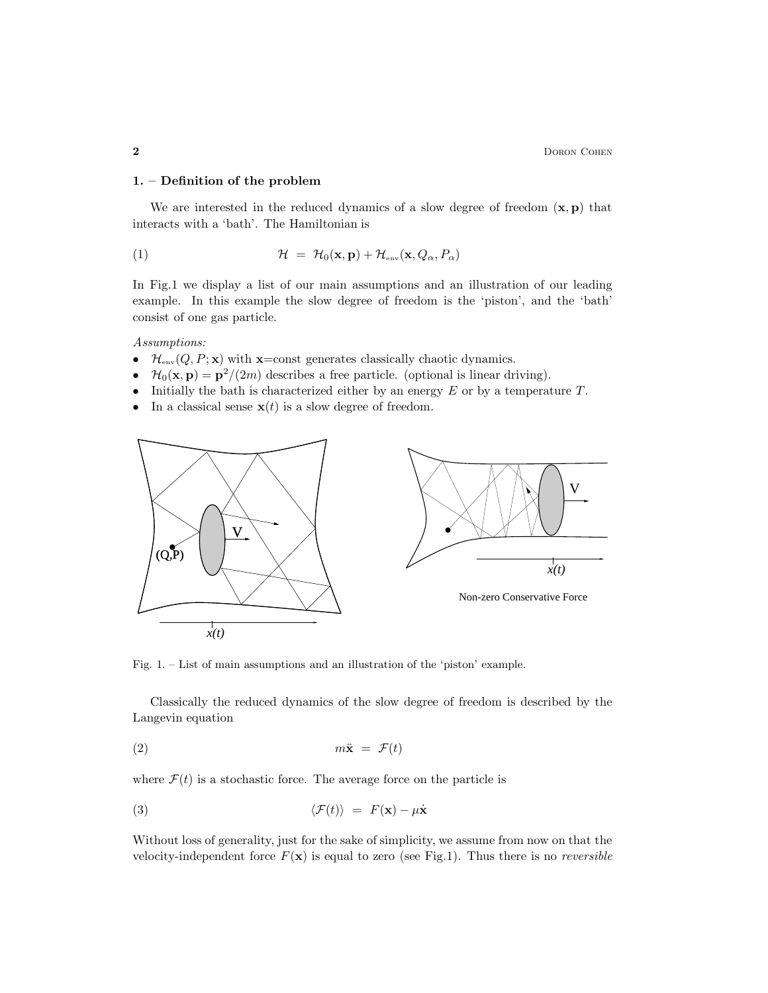#### 1. – Definition of the problem

We are interested in the reduced dynamics of a slow degree of freedom  $(x, p)$  that interacts with a 'bath'. The Hamiltonian is

(1) 
$$
\mathcal{H} = \mathcal{H}_0(\mathbf{x}, \mathbf{p}) + \mathcal{H}_{\text{env}}(\mathbf{x}, Q_\alpha, P_\alpha)
$$

In Fig.1 we display a list of our main assumptions and an illustration of our leading example. In this example the slow degree of freedom is the 'piston', and the 'bath' consist of one gas particle.

Assumptions:

- $\mathcal{H}_{env}(Q, P; \mathbf{x})$  with  $\mathbf{x}$ =const generates classically chaotic dynamics.<br>•  $\mathcal{H}_0(\mathbf{x}, \mathbf{p}) = \mathbf{p}^2/(2m)$  describes a free particle. (optional is linear dr
- $\mathcal{H}_0(\mathbf{x}, \mathbf{p}) = \mathbf{p}^2/(2m)$  describes a free particle. (optional is linear driving).
- Initially the bath is characterized either by an energy  $E$  or by a temperature  $T$ .
- In a classical sense  $\mathbf{x}(t)$  is a slow degree of freedom.



Fig. 1. – List of main assumptions and an illustration of the 'piston' example.

Classically the reduced dynamics of the slow degree of freedom is described by the Langevin equation

$$
(2) \t m\ddot{\mathbf{x}} = \mathcal{F}(t)
$$

where  $\mathcal{F}(t)$  is a stochastic force. The average force on the particle is

(3) 
$$
\langle \mathcal{F}(t) \rangle = F(\mathbf{x}) - \mu \dot{\mathbf{x}}
$$

Without loss of generality, just for the sake of simplicity, we assume from now on that the velocity-independent force  $F(\mathbf{x})$  is equal to zero (see Fig.1). Thus there is no *reversible*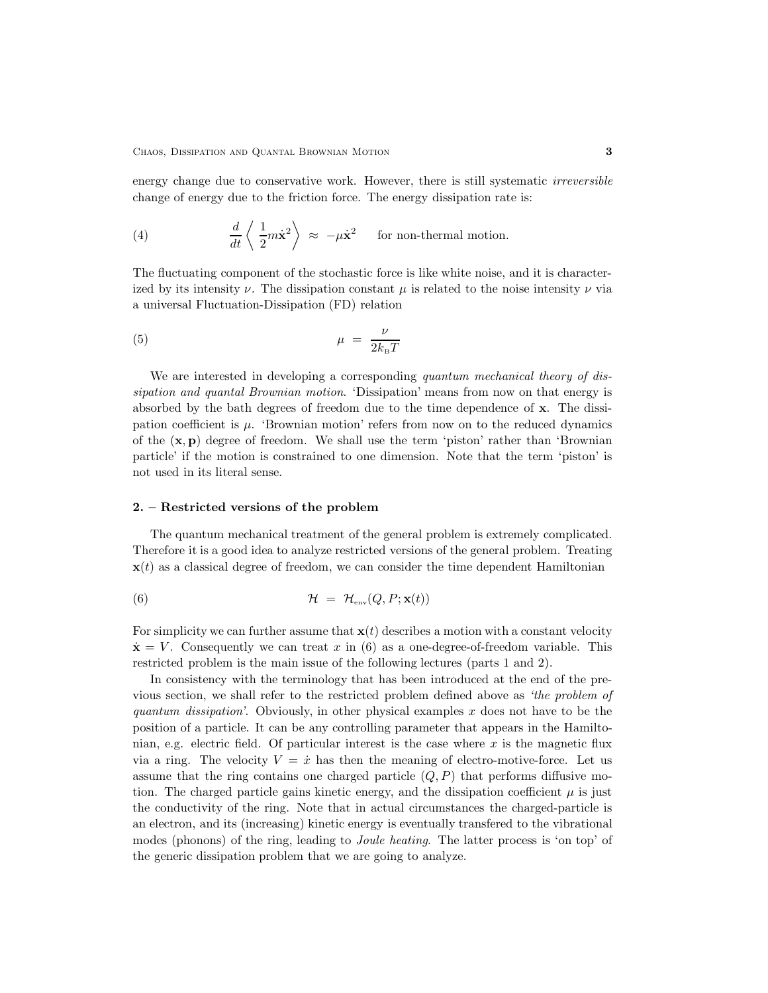energy change due to conservative work. However, there is still systematic *irreversible* change of energy due to the friction force. The energy dissipation rate is:

(4) 
$$
\frac{d}{dt}\left\langle \frac{1}{2}m\dot{\mathbf{x}}^2\right\rangle \approx -\mu\dot{\mathbf{x}}^2 \quad \text{for non-thermal motion.}
$$

The fluctuating component of the stochastic force is like white noise, and it is characterized by its intensity  $\nu$ . The dissipation constant  $\mu$  is related to the noise intensity  $\nu$  via a universal Fluctuation-Dissipation (FD) relation

$$
\mu = \frac{\nu}{2k_{\rm B}T}
$$

We are interested in developing a corresponding quantum mechanical theory of dissipation and quantal Brownian motion. 'Dissipation' means from now on that energy is absorbed by the bath degrees of freedom due to the time dependence of x. The dissipation coefficient is  $\mu$ . 'Brownian motion' refers from now on to the reduced dynamics of the  $(x, p)$  degree of freedom. We shall use the term 'piston' rather than 'Brownian particle' if the motion is constrained to one dimension. Note that the term 'piston' is not used in its literal sense.

## 2. – Restricted versions of the problem

The quantum mechanical treatment of the general problem is extremely complicated. Therefore it is a good idea to analyze restricted versions of the general problem. Treating  $\mathbf{x}(t)$  as a classical degree of freedom, we can consider the time dependent Hamiltonian

(6) 
$$
\mathcal{H} = \mathcal{H}_{env}(Q, P; \mathbf{x}(t))
$$

For simplicity we can further assume that  $\mathbf{x}(t)$  describes a motion with a constant velocity  $\dot{\mathbf{x}} = V$ . Consequently we can treat x in (6) as a one-degree-of-freedom variable. This restricted problem is the main issue of the following lectures (parts 1 and 2).

In consistency with the terminology that has been introduced at the end of the previous section, we shall refer to the restricted problem defined above as 'the problem of quantum dissipation'. Obviously, in other physical examples  $x$  does not have to be the position of a particle. It can be any controlling parameter that appears in the Hamiltonian, e.g. electric field. Of particular interest is the case where  $x$  is the magnetic flux via a ring. The velocity  $V = \dot{x}$  has then the meaning of electro-motive-force. Let us assume that the ring contains one charged particle  $(Q, P)$  that performs diffusive motion. The charged particle gains kinetic energy, and the dissipation coefficient  $\mu$  is just the conductivity of the ring. Note that in actual circumstances the charged-particle is an electron, and its (increasing) kinetic energy is eventually transfered to the vibrational modes (phonons) of the ring, leading to *Joule heating*. The latter process is 'on top' of the generic dissipation problem that we are going to analyze.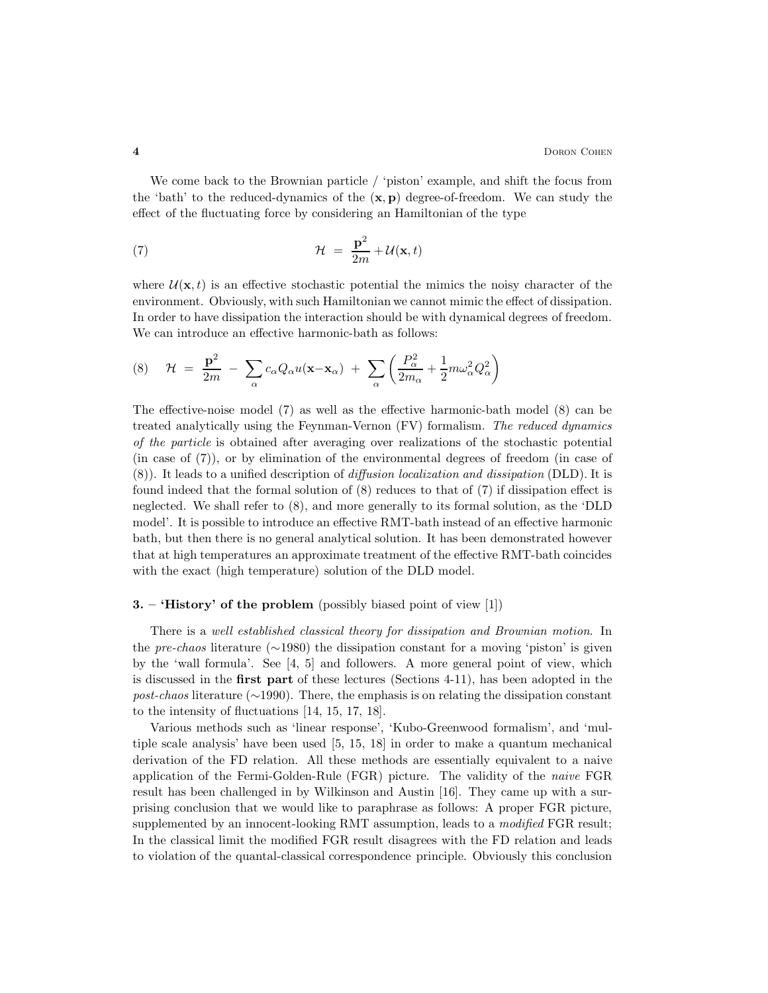We come back to the Brownian particle / 'piston' example, and shift the focus from the 'bath' to the reduced-dynamics of the  $(x, p)$  degree-of-freedom. We can study the effect of the fluctuating force by considering an Hamiltonian of the type

(7) 
$$
\mathcal{H} = \frac{\mathbf{p}^2}{2m} + \mathcal{U}(\mathbf{x}, t)
$$

where  $\mathcal{U}(\mathbf{x},t)$  is an effective stochastic potential the mimics the noisy character of the environment. Obviously, with such Hamiltonian we cannot mimic the effect of dissipation. In order to have dissipation the interaction should be with dynamical degrees of freedom. We can introduce an effective harmonic-bath as follows:

(8) 
$$
\mathcal{H} = \frac{\mathbf{p}^2}{2m} - \sum_{\alpha} c_{\alpha} Q_{\alpha} u(\mathbf{x} - \mathbf{x}_{\alpha}) + \sum_{\alpha} \left( \frac{P_{\alpha}^2}{2m_{\alpha}} + \frac{1}{2} m \omega_{\alpha}^2 Q_{\alpha}^2 \right)
$$

The effective-noise model (7) as well as the effective harmonic-bath model (8) can be treated analytically using the Feynman-Vernon (FV) formalism. The reduced dynamics of the particle is obtained after averaging over realizations of the stochastic potential (in case of (7)), or by elimination of the environmental degrees of freedom (in case of (8)). It leads to a unified description of diffusion localization and dissipation (DLD). It is found indeed that the formal solution of (8) reduces to that of (7) if dissipation effect is neglected. We shall refer to (8), and more generally to its formal solution, as the 'DLD model'. It is possible to introduce an effective RMT-bath instead of an effective harmonic bath, but then there is no general analytical solution. It has been demonstrated however that at high temperatures an approximate treatment of the effective RMT-bath coincides with the exact (high temperature) solution of the DLD model.

#### **3.** – '**History'** of the problem (possibly biased point of view  $\begin{bmatrix} 1 \end{bmatrix}$ )

There is a well established classical theory for dissipation and Brownian motion. In the pre-chaos literature ( $\sim$ 1980) the dissipation constant for a moving 'piston' is given by the 'wall formula'. See [4, 5] and followers. A more general point of view, which is discussed in the first part of these lectures (Sections 4-11), has been adopted in the post-chaos literature (∼1990). There, the emphasis is on relating the dissipation constant to the intensity of fluctuations [14, 15, 17, 18].

Various methods such as 'linear response', 'Kubo-Greenwood formalism', and 'multiple scale analysis' have been used [5, 15, 18] in order to make a quantum mechanical derivation of the FD relation. All these methods are essentially equivalent to a naive application of the Fermi-Golden-Rule (FGR) picture. The validity of the naive FGR result has been challenged in by Wilkinson and Austin [16]. They came up with a surprising conclusion that we would like to paraphrase as follows: A proper FGR picture, supplemented by an innocent-looking RMT assumption, leads to a *modified* FGR result; In the classical limit the modified FGR result disagrees with the FD relation and leads to violation of the quantal-classical correspondence principle. Obviously this conclusion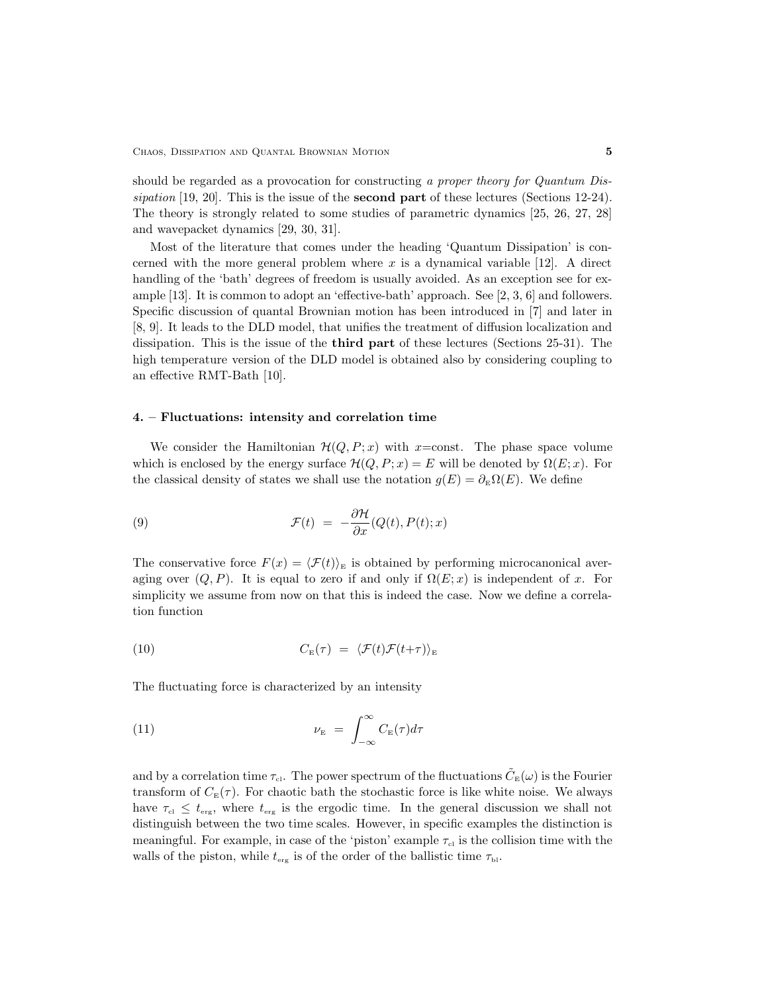should be regarded as a provocation for constructing a proper theory for Quantum Dissipation [19, 20]. This is the issue of the **second part** of these lectures (Sections 12-24). The theory is strongly related to some studies of parametric dynamics [25, 26, 27, 28] and wavepacket dynamics [29, 30, 31].

Most of the literature that comes under the heading 'Quantum Dissipation' is concerned with the more general problem where  $x$  is a dynamical variable  $[12]$ . A direct handling of the 'bath' degrees of freedom is usually avoided. As an exception see for example [13]. It is common to adopt an 'effective-bath' approach. See [2, 3, 6] and followers. Specific discussion of quantal Brownian motion has been introduced in [7] and later in [8, 9]. It leads to the DLD model, that unifies the treatment of diffusion localization and dissipation. This is the issue of the third part of these lectures (Sections 25-31). The high temperature version of the DLD model is obtained also by considering coupling to an effective RMT-Bath [10].

## 4. – Fluctuations: intensity and correlation time

We consider the Hamiltonian  $\mathcal{H}(Q, P; x)$  with x=const. The phase space volume which is enclosed by the energy surface  $\mathcal{H}(Q, P; x) = E$  will be denoted by  $\Omega(E; x)$ . For the classical density of states we shall use the notation  $q(E) = \partial_{E} \Omega(E)$ . We define

(9) 
$$
\mathcal{F}(t) = -\frac{\partial \mathcal{H}}{\partial x}(Q(t), P(t); x)
$$

The conservative force  $F(x) = \langle \mathcal{F}(t) \rangle_E$  is obtained by performing microcanonical averaging over  $(Q, P)$ . It is equal to zero if and only if  $\Omega(E; x)$  is independent of x. For simplicity we assume from now on that this is indeed the case. Now we define a correlation function

(10) 
$$
C_{\mathcal{E}}(\tau) = \langle \mathcal{F}(t)\mathcal{F}(t+\tau) \rangle_{\mathcal{E}}
$$

The fluctuating force is characterized by an intensity

(11) 
$$
\nu_{\rm E} = \int_{-\infty}^{\infty} C_{\rm E}(\tau) d\tau
$$

and by a correlation time  $\tau_{\text{cl}}$ . The power spectrum of the fluctuations  $\tilde{C}_{\text{E}}(\omega)$  is the Fourier transform of  $C_{\rm E}(\tau)$ . For chaotic bath the stochastic force is like white noise. We always have  $\tau_{\text{el}} \leq t_{\text{erg}}$ , where  $t_{\text{erg}}$  is the ergodic time. In the general discussion we shall not distinguish between the two time scales. However, in specific examples the distinction is meaningful. For example, in case of the 'piston' example  $\tau_{ci}$  is the collision time with the walls of the piston, while  $t_{\text{erg}}$  is of the order of the ballistic time  $\tau_{\text{bl}}$ .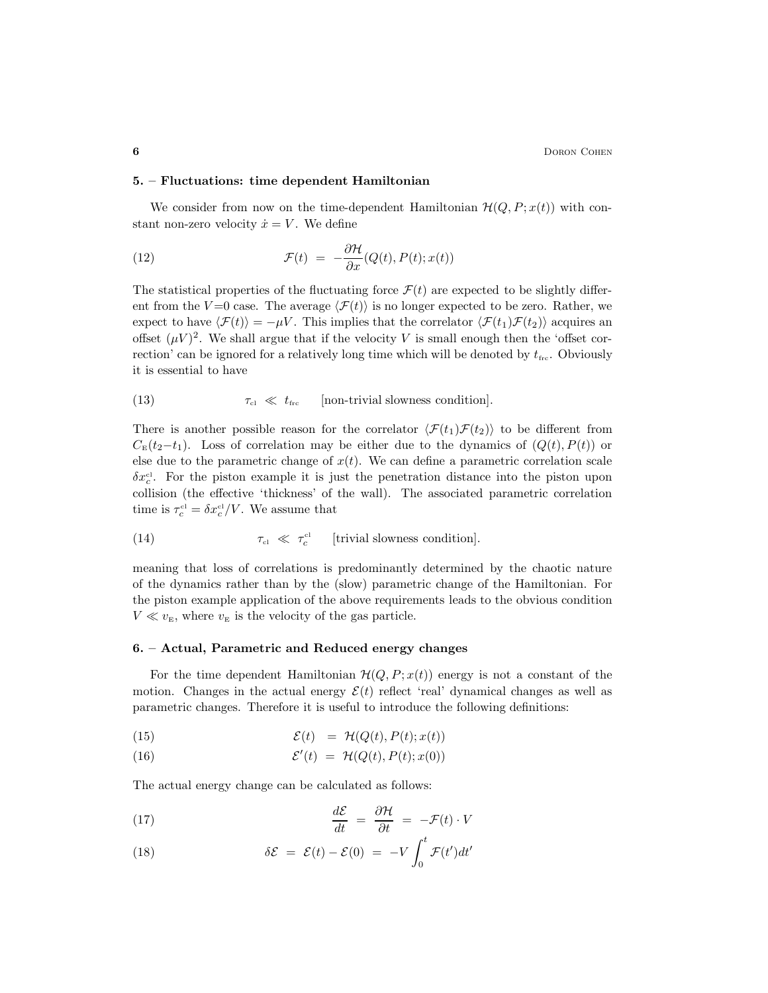#### 5. – Fluctuations: time dependent Hamiltonian

We consider from now on the time-dependent Hamiltonian  $\mathcal{H}(Q, P; x(t))$  with constant non-zero velocity  $\dot{x} = V$ . We define

(12) 
$$
\mathcal{F}(t) = -\frac{\partial \mathcal{H}}{\partial x}(Q(t), P(t); x(t))
$$

The statistical properties of the fluctuating force  $\mathcal{F}(t)$  are expected to be slightly different from the V=0 case. The average  $\langle \mathcal{F}(t) \rangle$  is no longer expected to be zero. Rather, we expect to have  $\langle \mathcal{F}(t)\rangle = -\mu V$ . This implies that the correlator  $\langle \mathcal{F}(t_1)\mathcal{F}(t_2)\rangle$  acquires an offset  $(\mu V)^2$ . We shall argue that if the velocity V is small enough then the 'offset correction' can be ignored for a relatively long time which will be denoted by  $t_{\text{frc}}$ . Obviously it is essential to have

(13)  $\tau_{\text{cl}} \ll t_{\text{frc}}$  [non-trivial slowness condition].

There is another possible reason for the correlator  $\langle \mathcal{F}(t_1), \mathcal{F}(t_2) \rangle$  to be different from  $C_{\rm E}(t_2-t_1)$ . Loss of correlation may be either due to the dynamics of  $(Q(t), P(t))$  or else due to the parametric change of  $x(t)$ . We can define a parametric correlation scale  $\delta x_c^{\text{cl}}$ . For the piston example it is just the penetration distance into the piston upon collision (the effective 'thickness' of the wall). The associated parametric correlation time is  $\tau_c^{\text{cl}} = \delta x_c^{\text{cl}} / V$ . We assume that

(14) 
$$
\tau_{\text{cl}} \ll \tau_c^{\text{cl}} \quad \text{[trivial slowness condition]}.
$$

meaning that loss of correlations is predominantly determined by the chaotic nature of the dynamics rather than by the (slow) parametric change of the Hamiltonian. For the piston example application of the above requirements leads to the obvious condition  $V \ll v_{\rm E}$ , where  $v_{\rm E}$  is the velocity of the gas particle.

## 6. – Actual, Parametric and Reduced energy changes

For the time dependent Hamiltonian  $\mathcal{H}(Q, P; x(t))$  energy is not a constant of the motion. Changes in the actual energy  $\mathcal{E}(t)$  reflect 'real' dynamical changes as well as parametric changes. Therefore it is useful to introduce the following definitions:

(15) 
$$
\mathcal{E}(t) = \mathcal{H}(Q(t), P(t); x(t))
$$

(16) 
$$
\mathcal{E}'(t) = \mathcal{H}(Q(t), P(t); x(0))
$$

The actual energy change can be calculated as follows:

(17) 
$$
\frac{d\mathcal{E}}{dt} = \frac{\partial \mathcal{H}}{\partial t} = -\mathcal{F}(t) \cdot V
$$

(18) 
$$
\delta \mathcal{E} = \mathcal{E}(t) - \mathcal{E}(0) = -V \int_0^t \mathcal{F}(t') dt'
$$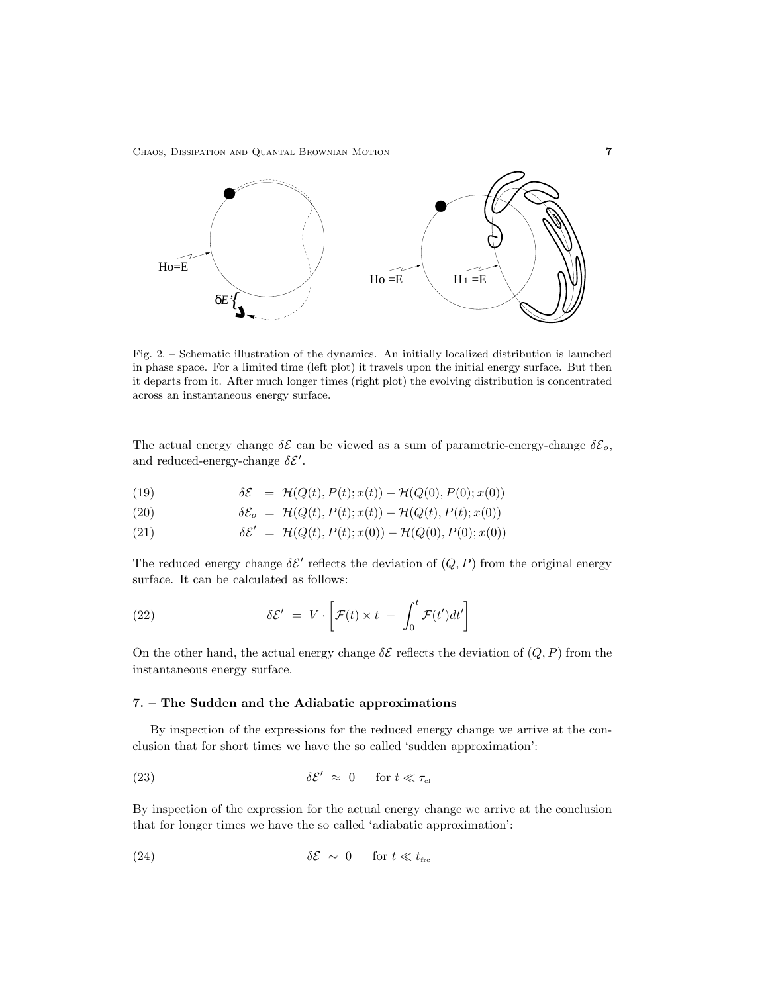Chaos, Dissipation and Quantal Brownian Motion 7



Fig. 2. – Schematic illustration of the dynamics. An initially localized distribution is launched in phase space. For a limited time (left plot) it travels upon the initial energy surface. But then it departs from it. After much longer times (right plot) the evolving distribution is concentrated across an instantaneous energy surface.

The actual energy change  $\delta \mathcal{E}$  can be viewed as a sum of parametric-energy-change  $\delta \mathcal{E}_o$ , and reduced-energy-change  $\delta \mathcal{E}'$ .

(19) 
$$
\delta \mathcal{E} = \mathcal{H}(Q(t), P(t); x(t)) - \mathcal{H}(Q(0), P(0); x(0))
$$

(20) 
$$
\delta \mathcal{E}_o = \mathcal{H}(Q(t), P(t); x(t)) - \mathcal{H}(Q(t), P(t); x(0))
$$

(21) 
$$
\delta \mathcal{E}' = \mathcal{H}(Q(t), P(t); x(0)) - \mathcal{H}(Q(0), P(0); x(0))
$$

The reduced energy change  $\delta \mathcal{E}'$  reflects the deviation of  $(Q, P)$  from the original energy surface. It can be calculated as follows:

(22) 
$$
\delta \mathcal{E}' = V \cdot \left[ \mathcal{F}(t) \times t - \int_0^t \mathcal{F}(t') dt' \right]
$$

On the other hand, the actual energy change  $\delta \mathcal{E}$  reflects the deviation of  $(Q, P)$  from the instantaneous energy surface.

## 7. – The Sudden and the Adiabatic approximations

By inspection of the expressions for the reduced energy change we arrive at the conclusion that for short times we have the so called 'sudden approximation':

(23) 
$$
\delta \mathcal{E}' \approx 0 \quad \text{for } t \ll \tau_{\text{cl}}
$$

By inspection of the expression for the actual energy change we arrive at the conclusion that for longer times we have the so called 'adiabatic approximation':

(24) 
$$
\delta \mathcal{E} \sim 0 \quad \text{for } t \ll t_{\text{frc}}
$$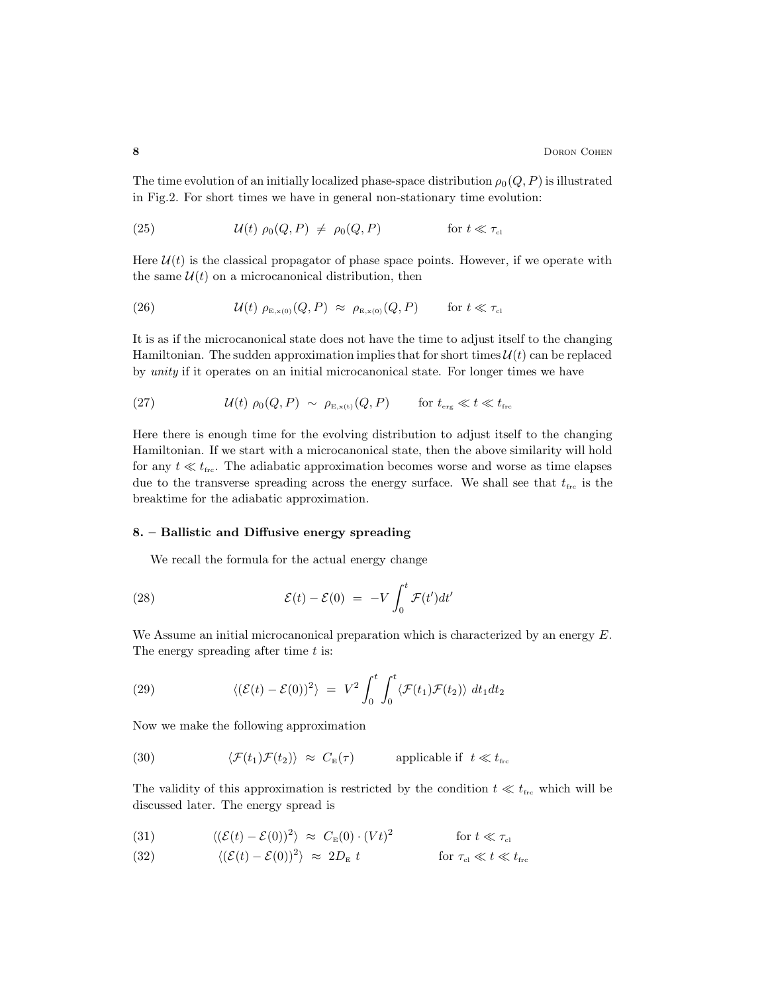The time evolution of an initially localized phase-space distribution  $\rho_0(Q, P)$  is illustrated in Fig.2. For short times we have in general non-stationary time evolution:

(25) 
$$
\mathcal{U}(t) \rho_0(Q, P) \neq \rho_0(Q, P) \qquad \text{for } t \ll \tau_{\text{cl}}
$$

Here  $\mathcal{U}(t)$  is the classical propagator of phase space points. However, if we operate with the same  $\mathcal{U}(t)$  on a microcanonical distribution, then

(26) 
$$
\mathcal{U}(t) \rho_{\mathcal{E},x(0)}(Q,P) \approx \rho_{\mathcal{E},x(0)}(Q,P) \quad \text{for } t \ll \tau_{\mathit{cl}}
$$

It is as if the microcanonical state does not have the time to adjust itself to the changing Hamiltonian. The sudden approximation implies that for short times  $\mathcal{U}(t)$  can be replaced by unity if it operates on an initial microcanonical state. For longer times we have

(27) 
$$
\mathcal{U}(t) \rho_0(Q, P) \sim \rho_{E, x(t)}(Q, P) \quad \text{for } t_{\text{erg}} \ll t \ll t_{\text{frc}}
$$

Here there is enough time for the evolving distribution to adjust itself to the changing Hamiltonian. If we start with a microcanonical state, then the above similarity will hold for any  $t \ll t_{\text{frc}}$ . The adiabatic approximation becomes worse and worse as time elapses due to the transverse spreading across the energy surface. We shall see that  $t_{\text{frc}}$  is the breaktime for the adiabatic approximation.

## 8. – Ballistic and Diffusive energy spreading

We recall the formula for the actual energy change

(28) 
$$
\mathcal{E}(t) - \mathcal{E}(0) = -V \int_0^t \mathcal{F}(t') dt'
$$

We Assume an initial microcanonical preparation which is characterized by an energy  $E$ . The energy spreading after time  $t$  is:

(29) 
$$
\langle (\mathcal{E}(t) - \mathcal{E}(0))^2 \rangle = V^2 \int_0^t \int_0^t \langle \mathcal{F}(t_1) \mathcal{F}(t_2) \rangle dt_1 dt_2
$$

Now we make the following approximation

(30) 
$$
\langle \mathcal{F}(t_1)\mathcal{F}(t_2)\rangle \approx C_{\text{E}}(\tau)
$$
 applicable if  $t \ll t_{\text{frc}}$ 

The validity of this approximation is restricted by the condition  $t \ll t_{\text{frc}}$  which will be discussed later. The energy spread is

(31) 
$$
\langle (\mathcal{E}(t) - \mathcal{E}(0))^2 \rangle \approx C_{\mathbb{E}}(0) \cdot (Vt)^2
$$
 for  $t \ll \tau_{cl}$ 

(32) 
$$
\langle (\mathcal{E}(t) - \mathcal{E}(0))^2 \rangle \approx 2D_{\rm E} t
$$
 for  $\tau_{\rm cl} \ll t \ll t_{\rm frc}$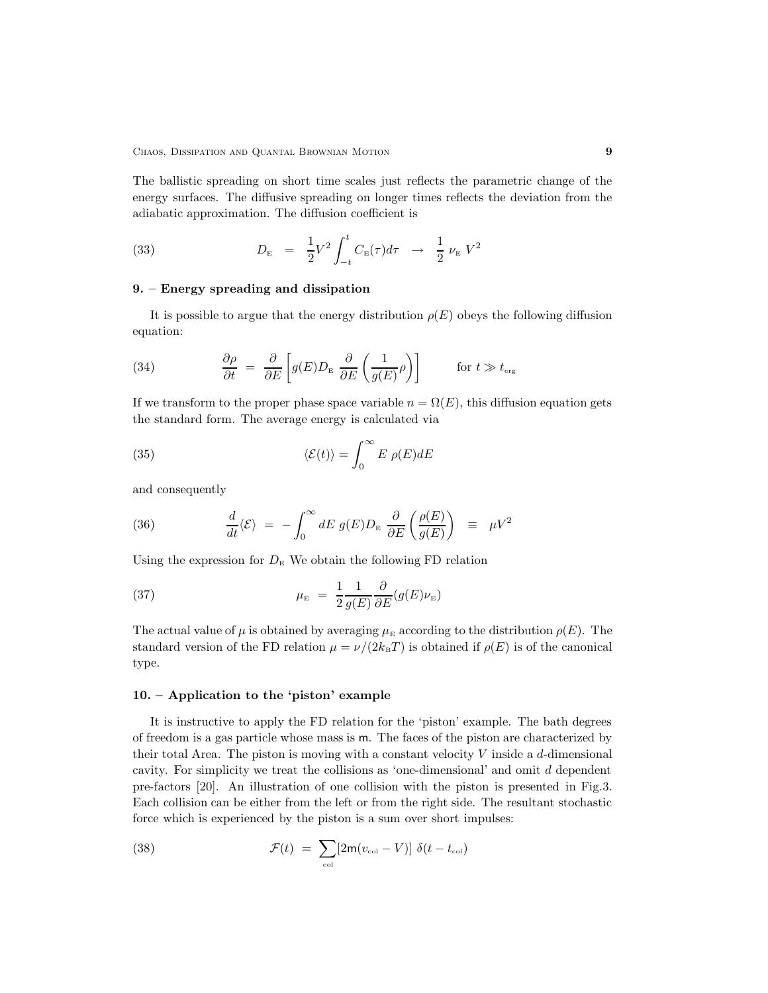The ballistic spreading on short time scales just reflects the parametric change of the energy surfaces. The diffusive spreading on longer times reflects the deviation from the adiabatic approximation. The diffusion coefficient is

(33) 
$$
D_{\rm E} = \frac{1}{2} V^2 \int_{-t}^{t} C_{\rm E}(\tau) d\tau \to \frac{1}{2} \nu_{\rm E} V^2
$$

## 9. – Energy spreading and dissipation

It is possible to argue that the energy distribution  $\rho(E)$  obeys the following diffusion equation:

(34) 
$$
\frac{\partial \rho}{\partial t} = \frac{\partial}{\partial E} \left[ g(E) D_{\rm E} \frac{\partial}{\partial E} \left( \frac{1}{g(E)} \rho \right) \right] \qquad \text{for } t \gg t_{\rm erg}
$$

If we transform to the proper phase space variable  $n = \Omega(E)$ , this diffusion equation gets the standard form. The average energy is calculated via

(35) 
$$
\langle \mathcal{E}(t) \rangle = \int_0^\infty E \, \rho(E) dE
$$

and consequently

(36) 
$$
\frac{d}{dt}\langle \mathcal{E} \rangle = -\int_0^\infty dE \ g(E) D_{\rm E} \ \frac{\partial}{\partial E} \left( \frac{\rho(E)}{g(E)} \right) \ \equiv \ \mu V^2
$$

Using the expression for  $D<sub>E</sub>$  We obtain the following FD relation

(37) 
$$
\mu_{\mathcal{E}} = \frac{1}{2} \frac{1}{g(E)} \frac{\partial}{\partial E} (g(E)\nu_{\mathcal{E}})
$$

The actual value of  $\mu$  is obtained by averaging  $\mu_{\rm E}$  according to the distribution  $\rho(E)$ . The standard version of the FD relation  $\mu = \nu/(2k_BT)$  is obtained if  $\rho(E)$  is of the canonical type.

## 10. – Application to the 'piston' example

It is instructive to apply the FD relation for the 'piston' example. The bath degrees of freedom is a gas particle whose mass is m. The faces of the piston are characterized by their total Area. The piston is moving with a constant velocity  $V$  inside a d-dimensional cavity. For simplicity we treat the collisions as 'one-dimensional' and omit d dependent pre-factors [20]. An illustration of one collision with the piston is presented in Fig.3. Each collision can be either from the left or from the right side. The resultant stochastic force which is experienced by the piston is a sum over short impulses:

(38) 
$$
\mathcal{F}(t) = \sum_{\text{col}} [2\mathsf{m}(v_{\text{col}} - V)] \delta(t - t_{\text{col}})
$$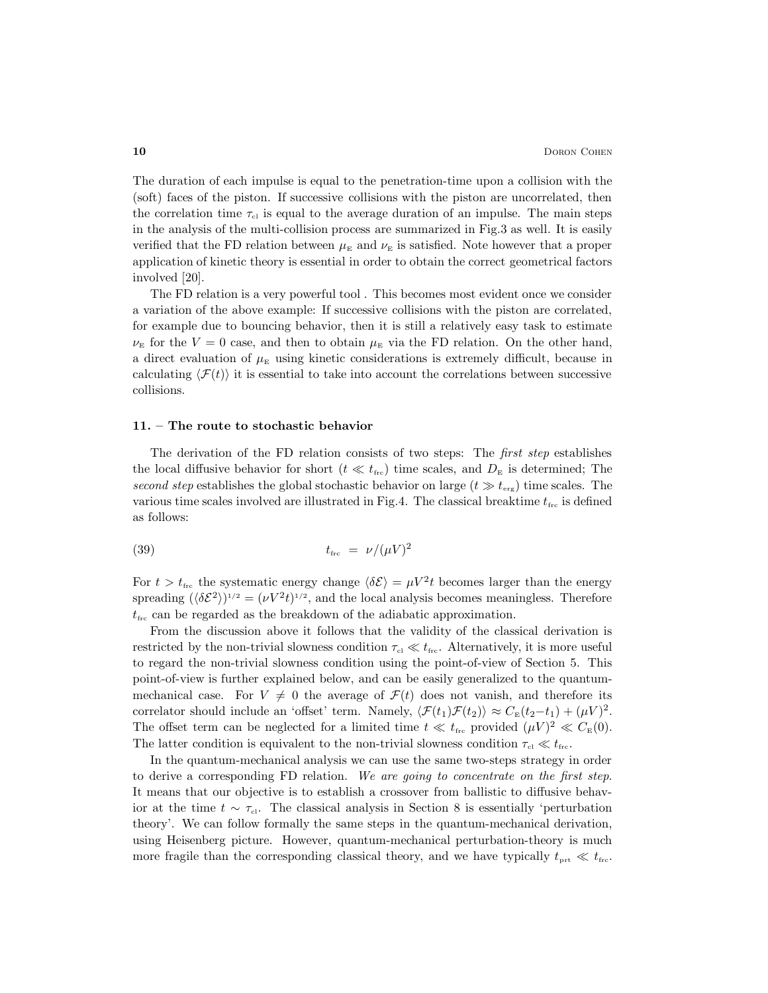The duration of each impulse is equal to the penetration-time upon a collision with the (soft) faces of the piston. If successive collisions with the piston are uncorrelated, then the correlation time  $\tau_{\rm cl}$  is equal to the average duration of an impulse. The main steps in the analysis of the multi-collision process are summarized in Fig.3 as well. It is easily verified that the FD relation between  $\mu_{\rm E}$  and  $\nu_{\rm E}$  is satisfied. Note however that a proper application of kinetic theory is essential in order to obtain the correct geometrical factors involved [20].

The FD relation is a very powerful tool . This becomes most evident once we consider a variation of the above example: If successive collisions with the piston are correlated, for example due to bouncing behavior, then it is still a relatively easy task to estimate  $\nu_{\rm E}$  for the  $V=0$  case, and then to obtain  $\mu_{\rm E}$  via the FD relation. On the other hand, a direct evaluation of  $\mu_{\rm E}$  using kinetic considerations is extremely difficult, because in calculating  $\langle \mathcal{F}(t) \rangle$  it is essential to take into account the correlations between successive collisions.

#### 11. – The route to stochastic behavior

The derivation of the FD relation consists of two steps: The first step establishes the local diffusive behavior for short ( $t \ll t_{\text{fre}}$ ) time scales, and  $D_{\text{E}}$  is determined; The second step establishes the global stochastic behavior on large  $(t \gg t_{\text{erg}})$  time scales. The various time scales involved are illustrated in Fig.4. The classical breaktime  $t_{\text{frc}}$  is defined as follows:

$$
(39) \t t_{\rm frc} = \nu / (\mu V)^2
$$

For  $t > t_{\text{frc}}$  the systematic energy change  $\langle \delta \mathcal{E} \rangle = \mu V^2 t$  becomes larger than the energy spreading  $(\langle \delta \mathcal{E}^2 \rangle)^{1/2} = (\nu V^2 t)^{1/2}$ , and the local analysis becomes meaningless. Therefore  $t_{\rm frc}$  can be regarded as the breakdown of the adiabatic approximation.

From the discussion above it follows that the validity of the classical derivation is restricted by the non-trivial slowness condition  $\tau_{\rm cl} \ll t_{\rm frc}$ . Alternatively, it is more useful to regard the non-trivial slowness condition using the point-of-view of Section 5. This point-of-view is further explained below, and can be easily generalized to the quantummechanical case. For  $V \neq 0$  the average of  $\mathcal{F}(t)$  does not vanish, and therefore its correlator should include an 'offset' term. Namely,  $\langle \mathcal{F}(t_1)\mathcal{F}(t_2)\rangle \approx C_{\mathbb{E}}(t_2-t_1) + (\mu V)^2$ . The offset term can be neglected for a limited time  $t \ll t_{\text{frc}}$  provided  $(\mu V)^2 \ll C_{\text{E}}(0)$ . The latter condition is equivalent to the non-trivial slowness condition  $\tau_{\rm cl} \ll t_{\rm fre}$ .

In the quantum-mechanical analysis we can use the same two-steps strategy in order to derive a corresponding FD relation. We are going to concentrate on the first step. It means that our objective is to establish a crossover from ballistic to diffusive behavior at the time  $t \sim \tau_{\text{cl}}$ . The classical analysis in Section 8 is essentially 'perturbation theory'. We can follow formally the same steps in the quantum-mechanical derivation, using Heisenberg picture. However, quantum-mechanical perturbation-theory is much more fragile than the corresponding classical theory, and we have typically  $t_{\text{prt}} \ll t_{\text{frc}}$ .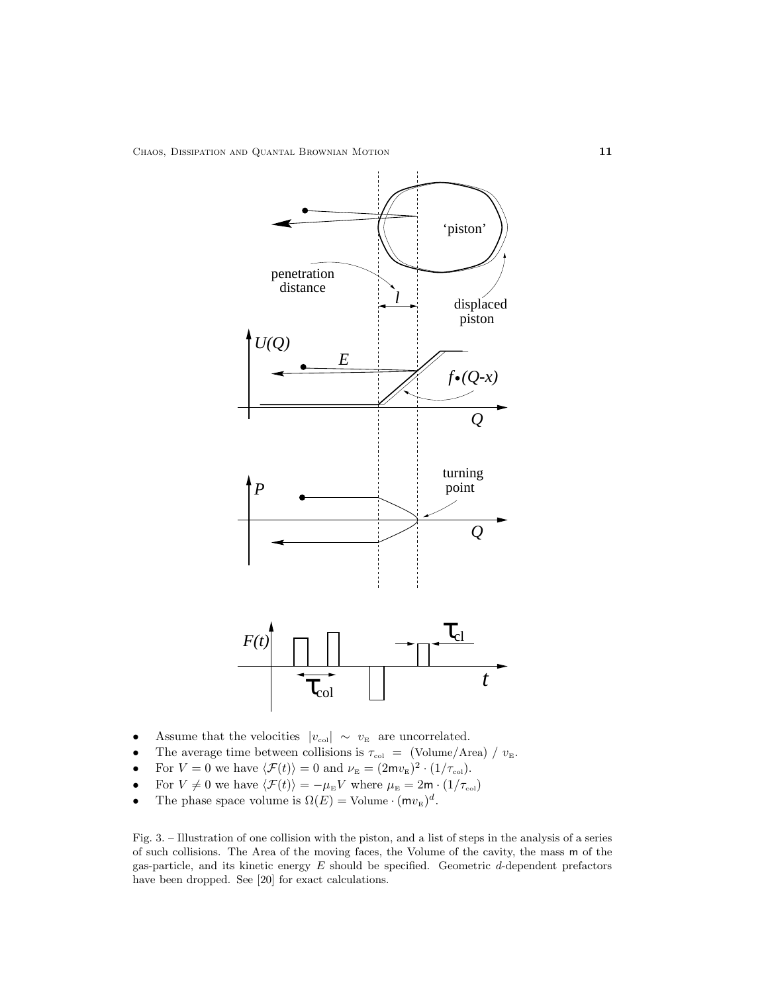

- Assume that the velocities  $|v_{\text{col}}| \sim v_{\text{E}}$  are uncorrelated.
- The average time between collisions is  $\tau_{\text{col}} = (\text{Volume/Area}) / v_{\text{E}}$ .<br>• For  $V = 0$  we have  $\langle \mathcal{F}(t) \rangle = 0$  and  $\nu_{\text{E}} = (2m v_{\text{E}})^2 \cdot (1/\tau_{\text{col}})$ .
- For  $V = 0$  we have  $\langle \mathcal{F}(t) \rangle = 0$  and  $\nu_{\rm E} = (2m v_{\rm E})^2 \cdot (1/\tau_{\rm col})$ .
- For  $V \neq 0$  we have  $\langle \mathcal{F}(t) \rangle = -\mu_E V$  where  $\mu_E = 2m \cdot (1/\tau_{\text{col}})$
- The phase space volume is  $\Omega(E) = \text{Volume} \cdot (\mathsf{m} v_{\rm E})^d$ .

Fig. 3. – Illustration of one collision with the piston, and a list of steps in the analysis of a series of such collisions. The Area of the moving faces, the Volume of the cavity, the mass m of the gas-particle, and its kinetic energy  $E$  should be specified. Geometric  $d$ -dependent prefactors have been dropped. See [20] for exact calculations.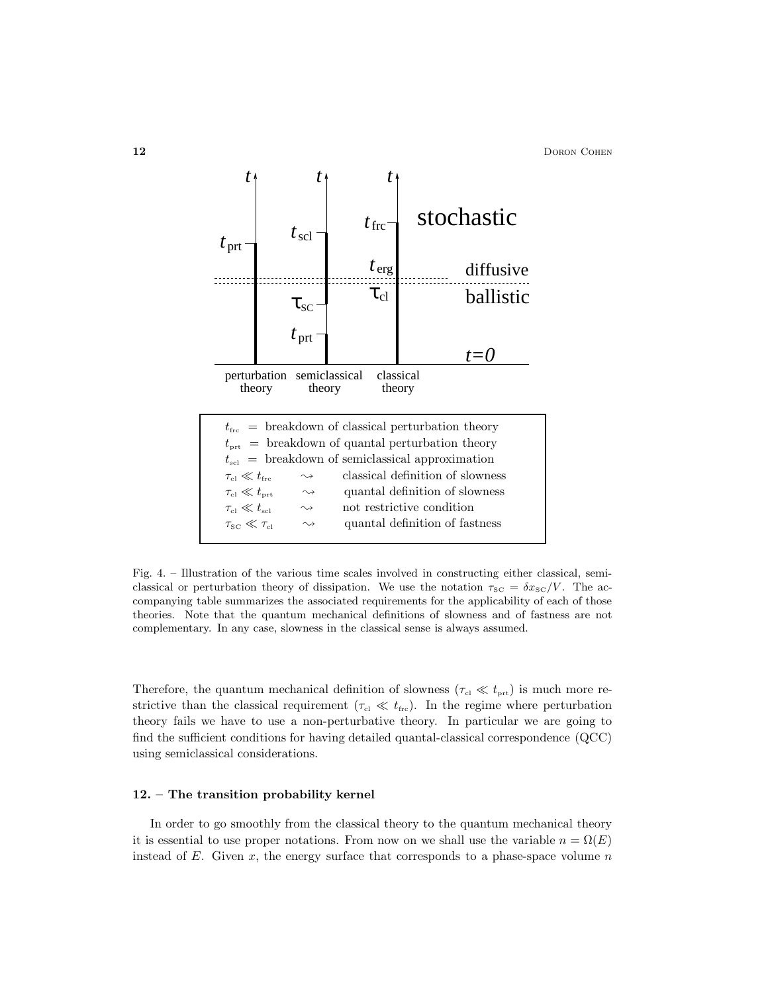

Fig. 4. – Illustration of the various time scales involved in constructing either classical, semiclassical or perturbation theory of dissipation. We use the notation  $\tau_{\text{SC}} = \delta x_{\text{SC}}/V$ . The accompanying table summarizes the associated requirements for the applicability of each of those theories. Note that the quantum mechanical definitions of slowness and of fastness are not complementary. In any case, slowness in the classical sense is always assumed.

Therefore, the quantum mechanical definition of slowness ( $\tau_{\text{cl}} \ll t_{\text{prt}}$ ) is much more restrictive than the classical requirement ( $\tau_{\text{cl}} \ll t_{\text{frc}}$ ). In the regime where perturbation theory fails we have to use a non-perturbative theory. In particular we are going to find the sufficient conditions for having detailed quantal-classical correspondence (QCC) using semiclassical considerations.

#### 12. – The transition probability kernel

In order to go smoothly from the classical theory to the quantum mechanical theory it is essential to use proper notations. From now on we shall use the variable  $n = \Omega(E)$ instead of E. Given x, the energy surface that corresponds to a phase-space volume  $n$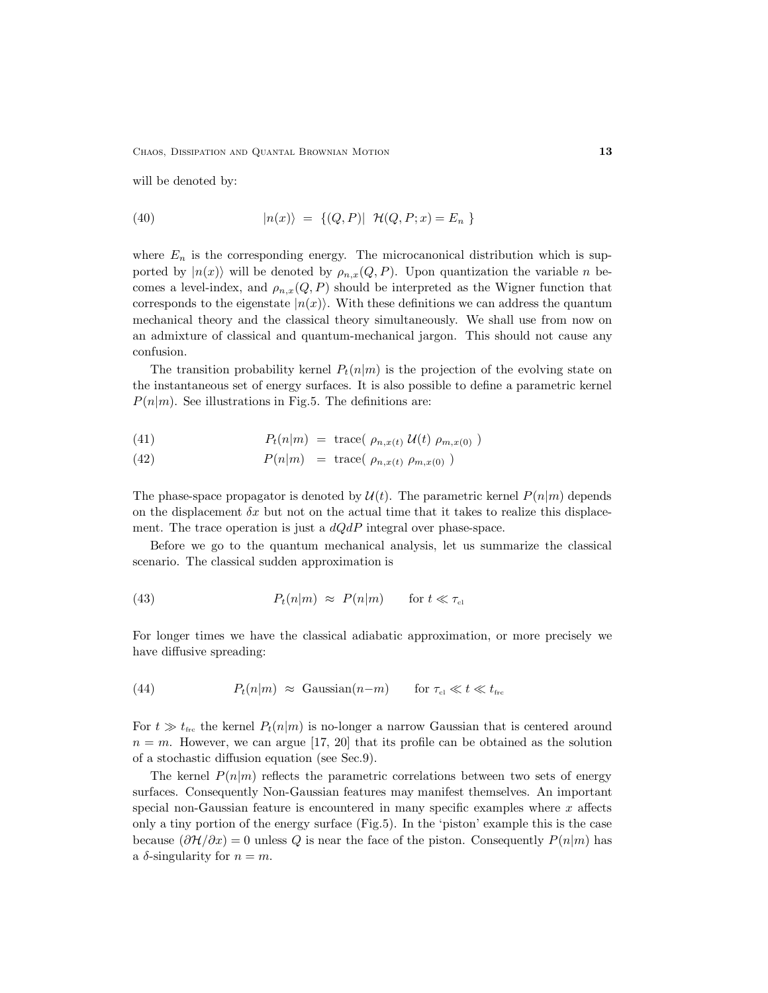CHAOS, DISSIPATION AND QUANTAL BROWNIAN MOTION 13

will be denoted by:

(40) 
$$
|n(x)\rangle = \{(Q, P)| \mathcal{H}(Q, P; x) = E_n \}
$$

where  $E_n$  is the corresponding energy. The microcanonical distribution which is supported by  $|n(x)\rangle$  will be denoted by  $\rho_{n,x}(Q, P)$ . Upon quantization the variable n becomes a level-index, and  $\rho_{n,x}(Q, P)$  should be interpreted as the Wigner function that corresponds to the eigenstate  $|n(x)\rangle$ . With these definitions we can address the quantum mechanical theory and the classical theory simultaneously. We shall use from now on an admixture of classical and quantum-mechanical jargon. This should not cause any confusion.

The transition probability kernel  $P_t(n|m)$  is the projection of the evolving state on the instantaneous set of energy surfaces. It is also possible to define a parametric kernel  $P(n|m)$ . See illustrations in Fig.5. The definitions are:

(41) 
$$
P_t(n|m) = \text{trace}( \rho_{n,x(t)} \mathcal{U}(t) \rho_{m,x(0)} )
$$

(42) 
$$
P(n|m) = \text{trace}(\rho_{n,x(t)} \rho_{m,x(0)})
$$

The phase-space propagator is denoted by  $\mathcal{U}(t)$ . The parametric kernel  $P(n|m)$  depends on the displacement  $\delta x$  but not on the actual time that it takes to realize this displacement. The trace operation is just a  $dQdP$  integral over phase-space.

Before we go to the quantum mechanical analysis, let us summarize the classical scenario. The classical sudden approximation is

(43) 
$$
P_t(n|m) \approx P(n|m) \quad \text{for } t \ll \tau_{\text{cl}}
$$

For longer times we have the classical adiabatic approximation, or more precisely we have diffusive spreading:

(44) 
$$
P_t(n|m) \approx \text{Gaussian}(n-m) \quad \text{for } \tau_{cl} \ll t \ll t_{\text{frc}}
$$

For  $t \gg t_{\text{frc}}$  the kernel  $P_t(n|m)$  is no-longer a narrow Gaussian that is centered around  $n = m$ . However, we can argue [17, 20] that its profile can be obtained as the solution of a stochastic diffusion equation (see Sec.9).

The kernel  $P(n|m)$  reflects the parametric correlations between two sets of energy surfaces. Consequently Non-Gaussian features may manifest themselves. An important special non-Gaussian feature is encountered in many specific examples where  $x$  affects only a tiny portion of the energy surface (Fig.5). In the 'piston' example this is the case because  $(\partial \mathcal{H}/\partial x) = 0$  unless Q is near the face of the piston. Consequently  $P(n|m)$  has a  $\delta$ -singularity for  $n = m$ .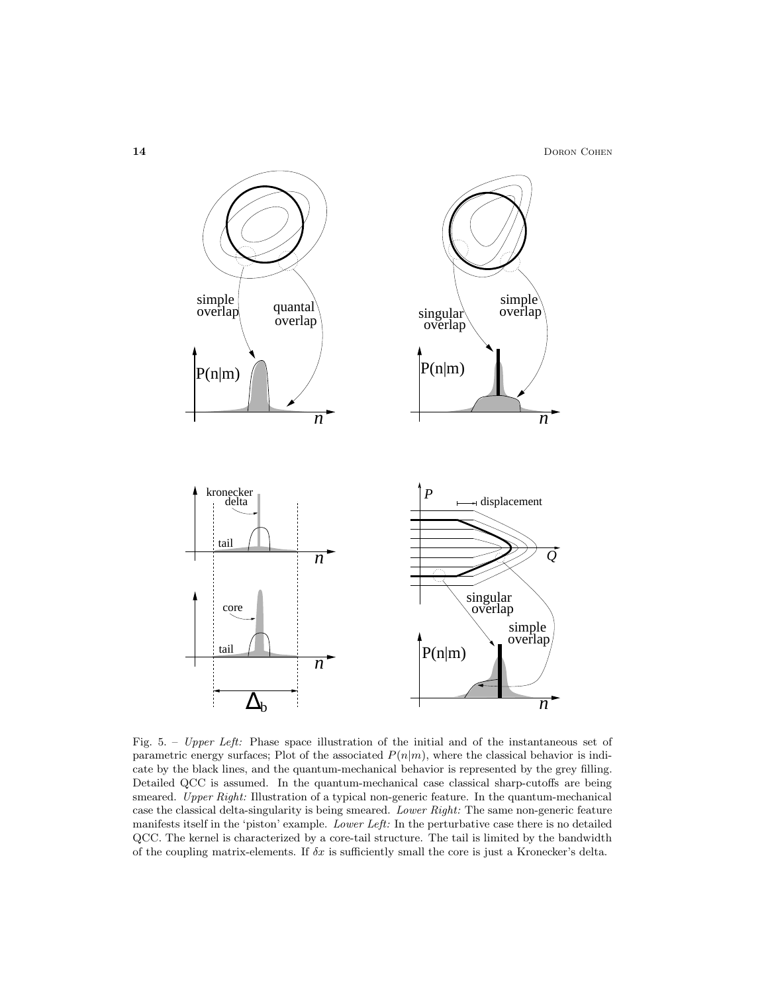14 DORON COHEN



Fig. 5. – Upper Left: Phase space illustration of the initial and of the instantaneous set of parametric energy surfaces; Plot of the associated  $P(n|m)$ , where the classical behavior is indicate by the black lines, and the quantum-mechanical behavior is represented by the grey filling. Detailed QCC is assumed. In the quantum-mechanical case classical sharp-cutoffs are being smeared. Upper Right: Illustration of a typical non-generic feature. In the quantum-mechanical case the classical delta-singularity is being smeared. Lower Right: The same non-generic feature manifests itself in the 'piston' example. Lower Left: In the perturbative case there is no detailed QCC. The kernel is characterized by a core-tail structure. The tail is limited by the bandwidth of the coupling matrix-elements. If  $\delta x$  is sufficiently small the core is just a Kronecker's delta.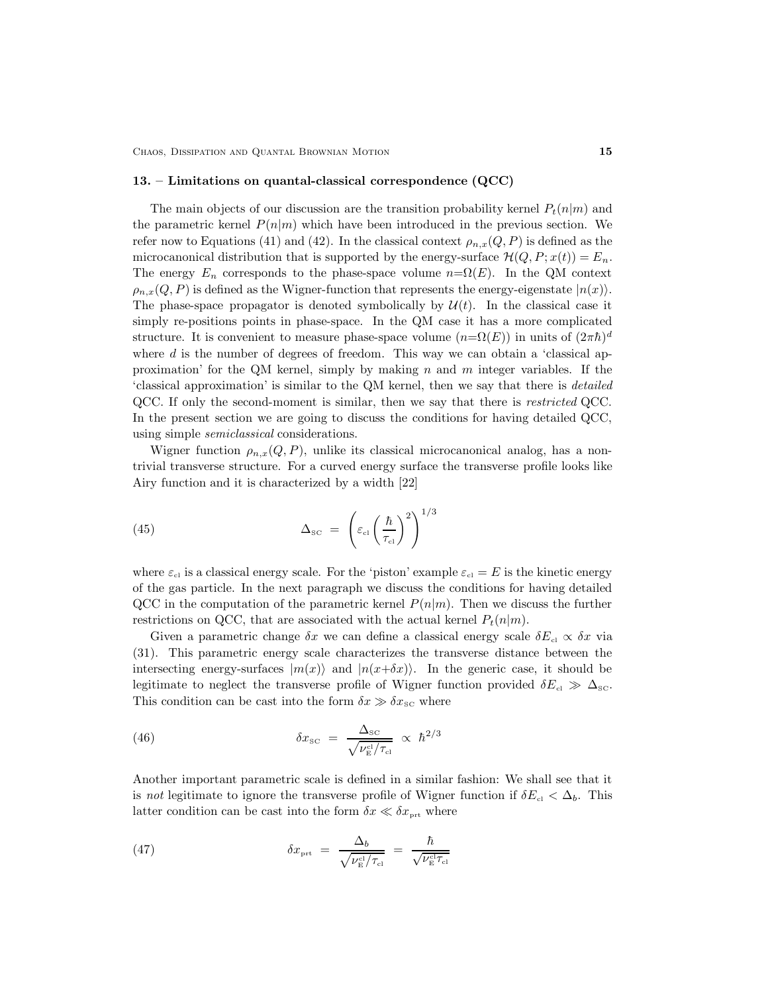CHAOS, DISSIPATION AND QUANTAL BROWNIAN MOTION 15

#### 13. – Limitations on quantal-classical correspondence (QCC)

The main objects of our discussion are the transition probability kernel  $P_t(n|m)$  and the parametric kernel  $P(n|m)$  which have been introduced in the previous section. We refer now to Equations (41) and (42). In the classical context  $\rho_{n,x}(Q, P)$  is defined as the microcanonical distribution that is supported by the energy-surface  $\mathcal{H}(Q, P; x(t)) = E_n$ . The energy  $E_n$  corresponds to the phase-space volume  $n=\Omega(E)$ . In the QM context  $\rho_{n,x}(Q, P)$  is defined as the Wigner-function that represents the energy-eigenstate  $|n(x)\rangle$ . The phase-space propagator is denoted symbolically by  $\mathcal{U}(t)$ . In the classical case it simply re-positions points in phase-space. In the QM case it has a more complicated structure. It is convenient to measure phase-space volume  $(n=\Omega(E))$  in units of  $(2\pi\hbar)^d$ where  $d$  is the number of degrees of freedom. This way we can obtain a 'classical approximation' for the QM kernel, simply by making  $n$  and  $m$  integer variables. If the 'classical approximation' is similar to the QM kernel, then we say that there is detailed QCC. If only the second-moment is similar, then we say that there is restricted QCC. In the present section we are going to discuss the conditions for having detailed QCC, using simple semiclassical considerations.

Wigner function  $\rho_{n,x}(Q, P)$ , unlike its classical microcanonical analog, has a nontrivial transverse structure. For a curved energy surface the transverse profile looks like Airy function and it is characterized by a width [22]

(45) 
$$
\Delta_{\rm SC} = \left(\varepsilon_{\rm cl} \left(\frac{\hbar}{\tau_{\rm cl}}\right)^2\right)^{1/3}
$$

where  $\varepsilon_{\text{cl}}$  is a classical energy scale. For the 'piston' example  $\varepsilon_{\text{cl}} = E$  is the kinetic energy of the gas particle. In the next paragraph we discuss the conditions for having detailed QCC in the computation of the parametric kernel  $P(n|m)$ . Then we discuss the further restrictions on QCC, that are associated with the actual kernel  $P_t(n|m)$ .

Given a parametric change  $\delta x$  we can define a classical energy scale  $\delta E_{\rm cl} \propto \delta x$  via (31). This parametric energy scale characterizes the transverse distance between the intersecting energy-surfaces  $|m(x)\rangle$  and  $|n(x+\delta x)\rangle$ . In the generic case, it should be legitimate to neglect the transverse profile of Wigner function provided  $\delta E_{\text{cl}} \gg \Delta_{\text{SC}}$ . This condition can be cast into the form  $\delta x \gg \delta x_{\rm SC}$  where

(46) 
$$
\delta x_{\rm SC} = \frac{\Delta_{\rm SC}}{\sqrt{\nu_{\rm E}^{\rm cl}/\tau_{\rm cl}}} \propto \hbar^{2/3}
$$

Another important parametric scale is defined in a similar fashion: We shall see that it is not legitimate to ignore the transverse profile of Wigner function if  $\delta E_{\rm cl} < \Delta_b$ . This latter condition can be cast into the form  $\delta x \ll \delta x_{\text{prt}}$  where

(47) 
$$
\delta x_{\text{prt}} = \frac{\Delta_b}{\sqrt{\nu_{\text{E}}^{\text{cl}}/\tau_{\text{cl}}}} = \frac{\hbar}{\sqrt{\nu_{\text{E}}^{\text{cl}}\tau_{\text{cl}}}}
$$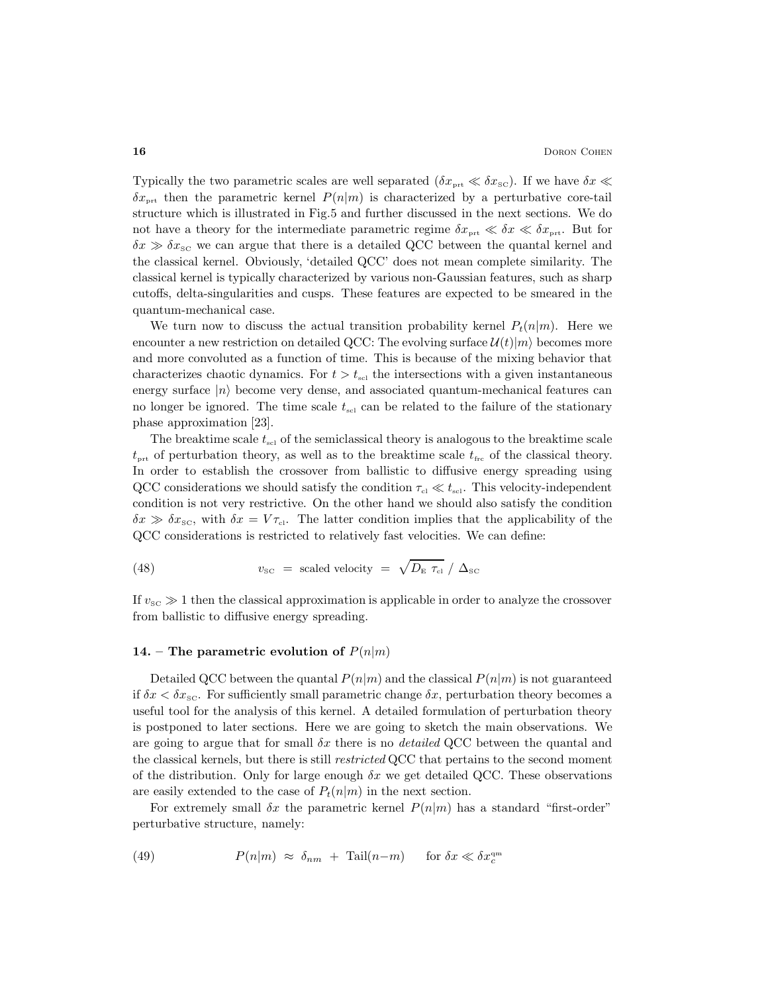Typically the two parametric scales are well separated  $(\delta x_{\text{prt}} \ll \delta x_{\text{SC}})$ . If we have  $\delta x \ll$  $\delta x_{\text{prt}}$  then the parametric kernel  $P(n|m)$  is characterized by a perturbative core-tail structure which is illustrated in Fig.5 and further discussed in the next sections. We do not have a theory for the intermediate parametric regime  $\delta x_{\text{prt}} \ll \delta x \ll \delta x_{\text{prt}}$ . But for  $\delta x \gg \delta x_{\rm SC}$  we can argue that there is a detailed QCC between the quantal kernel and the classical kernel. Obviously, 'detailed QCC' does not mean complete similarity. The classical kernel is typically characterized by various non-Gaussian features, such as sharp cutoffs, delta-singularities and cusps. These features are expected to be smeared in the quantum-mechanical case.

We turn now to discuss the actual transition probability kernel  $P_t(n|m)$ . Here we encounter a new restriction on detailed QCC: The evolving surface  $\mathcal{U}(t)|m\rangle$  becomes more and more convoluted as a function of time. This is because of the mixing behavior that characterizes chaotic dynamics. For  $t > t_{\text{sel}}$  the intersections with a given instantaneous energy surface  $|n\rangle$  become very dense, and associated quantum-mechanical features can no longer be ignored. The time scale  $t_{\rm scl}$  can be related to the failure of the stationary phase approximation [23].

The breaktime scale  $t_{\rm sc}$  of the semiclassical theory is analogous to the breaktime scale  $t_{\text{prt}}$  of perturbation theory, as well as to the breaktime scale  $t_{\text{frc}}$  of the classical theory. In order to establish the crossover from ballistic to diffusive energy spreading using QCC considerations we should satisfy the condition  $\tau_{\rm cl} \ll t_{\rm scl}$ . This velocity-independent condition is not very restrictive. On the other hand we should also satisfy the condition  $\delta x \gg \delta x_{\rm sc}$ , with  $\delta x = V \tau_{\rm cl}$ . The latter condition implies that the applicability of the QCC considerations is restricted to relatively fast velocities. We can define:

(48) 
$$
v_{\rm sc} =
$$
 scaled velocity  $= \sqrt{D_{\rm E} \tau_{\rm cl}} / \Delta_{\rm sc}$ 

If  $v_{\rm sc} \gg 1$  then the classical approximation is applicable in order to analyze the crossover from ballistic to diffusive energy spreading.

#### 14. – The parametric evolution of  $P(n|m)$

Detailed QCC between the quantal  $P(n|m)$  and the classical  $P(n|m)$  is not guaranteed if  $\delta x < \delta x_{\rm sc}$ . For sufficiently small parametric change  $\delta x$ , perturbation theory becomes a useful tool for the analysis of this kernel. A detailed formulation of perturbation theory is postponed to later sections. Here we are going to sketch the main observations. We are going to argue that for small  $\delta x$  there is no *detailed* QCC between the quantal and the classical kernels, but there is still *restricted* QCC that pertains to the second moment of the distribution. Only for large enough  $\delta x$  we get detailed QCC. These observations are easily extended to the case of  $P_t(n|m)$  in the next section.

For extremely small  $\delta x$  the parametric kernel  $P(n|m)$  has a standard "first-order" perturbative structure, namely:

(49) 
$$
P(n|m) \approx \delta_{nm} + \text{Tail}(n-m) \quad \text{for } \delta x \ll \delta x_c^{\text{qm}}
$$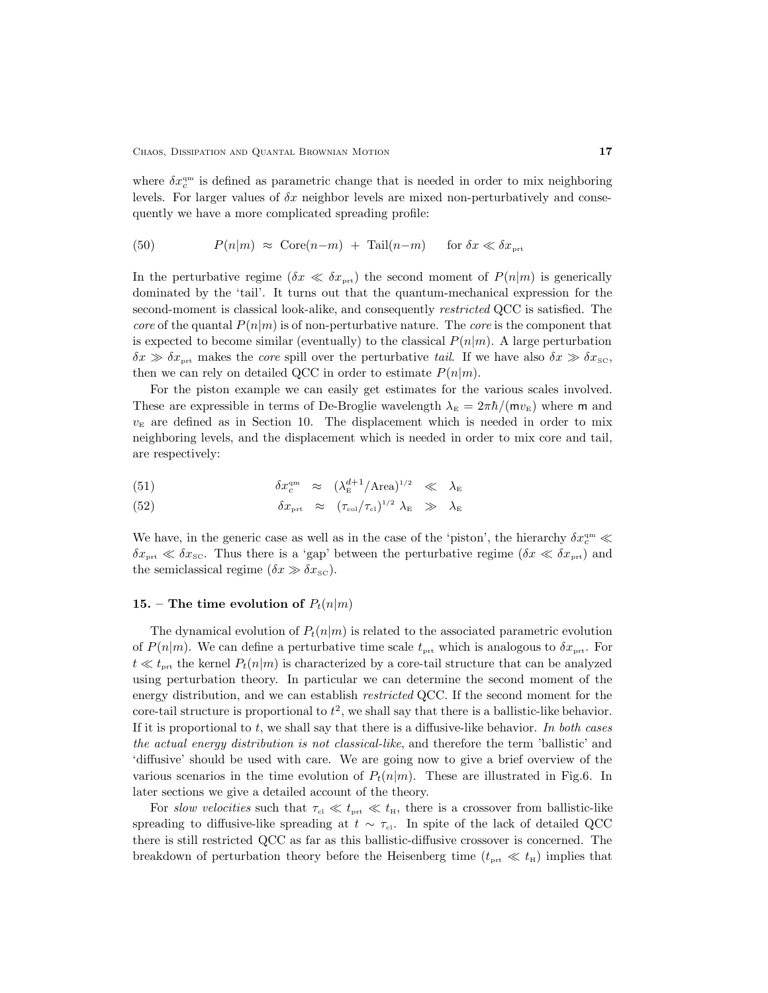where  $\delta x_c^{\text{qm}}$  is defined as parametric change that is needed in order to mix neighboring levels. For larger values of  $\delta x$  neighbor levels are mixed non-perturbatively and consequently we have a more complicated spreading profile:

(50) 
$$
P(n|m) \approx \text{Core}(n-m) + \text{Tail}(n-m) \quad \text{for } \delta x \ll \delta x_{\text{prt}}
$$

In the perturbative regime ( $\delta x \ll \delta x_{\text{prt}}$ ) the second moment of  $P(n|m)$  is generically dominated by the 'tail'. It turns out that the quantum-mechanical expression for the second-moment is classical look-alike, and consequently *restricted* QCC is satisfied. The core of the quantal  $P(n|m)$  is of non-perturbative nature. The core is the component that is expected to become similar (eventually) to the classical  $P(n|m)$ . A large perturbation  $\delta x \gg \delta x_{\text{prt}}$  makes the core spill over the perturbative tail. If we have also  $\delta x \gg \delta x_{\text{SC}}$ , then we can rely on detailed QCC in order to estimate  $P(n|m)$ .

For the piston example we can easily get estimates for the various scales involved. These are expressible in terms of De-Broglie wavelength  $\lambda_{\rm E} = 2\pi\hbar/(m v_{\rm E})$  where m and  $v<sub>E</sub>$  are defined as in Section 10. The displacement which is needed in order to mix neighboring levels, and the displacement which is needed in order to mix core and tail, are respectively:

(51) 
$$
\delta x_c^{\rm qm} \approx (\lambda_{\rm E}^{d+1} / \text{Area})^{1/2} \ll \lambda_{\rm E}
$$

(52) 
$$
\delta x_{\text{prt}} \approx (\tau_{\text{col}}/\tau_{\text{cl}})^{1/2} \lambda_{\text{E}} \gg \lambda_{\text{E}}
$$

We have, in the generic case as well as in the case of the 'piston', the hierarchy  $\delta x_c^{\rm qm} \ll$  $\delta x_{\text{prt}} \ll \delta x_{\text{sc}}$ . Thus there is a 'gap' between the perturbative regime  $(\delta x \ll \delta x_{\text{prt}})$  and the semiclassical regime  $(\delta x \gg \delta x_{\rm sc})$ .

## 15. – The time evolution of  $P_t(n|m)$

The dynamical evolution of  $P_t(n|m)$  is related to the associated parametric evolution of  $P(n|m)$ . We can define a perturbative time scale  $t_{\text{prt}}$  which is analogous to  $\delta x_{\text{prt}}$ . For  $t \ll t_{\text{prt}}$  the kernel  $P_t(n|m)$  is characterized by a core-tail structure that can be analyzed using perturbation theory. In particular we can determine the second moment of the energy distribution, and we can establish *restricted* QCC. If the second moment for the core-tail structure is proportional to  $t^2$ , we shall say that there is a ballistic-like behavior. If it is proportional to  $t$ , we shall say that there is a diffusive-like behavior. In both cases the actual energy distribution is not classical-like, and therefore the term 'ballistic' and 'diffusive' should be used with care. We are going now to give a brief overview of the various scenarios in the time evolution of  $P_t(n|m)$ . These are illustrated in Fig.6. In later sections we give a detailed account of the theory.

For slow velocities such that  $\tau_{\rm cl} \ll t_{\rm pt} \ll t_{\rm H}$ , there is a crossover from ballistic-like spreading to diffusive-like spreading at  $t \sim \tau_{\text{cl}}$ . In spite of the lack of detailed QCC there is still restricted QCC as far as this ballistic-diffusive crossover is concerned. The breakdown of perturbation theory before the Heisenberg time  $(t_{\text{prt}} \ll t_{\text{H}})$  implies that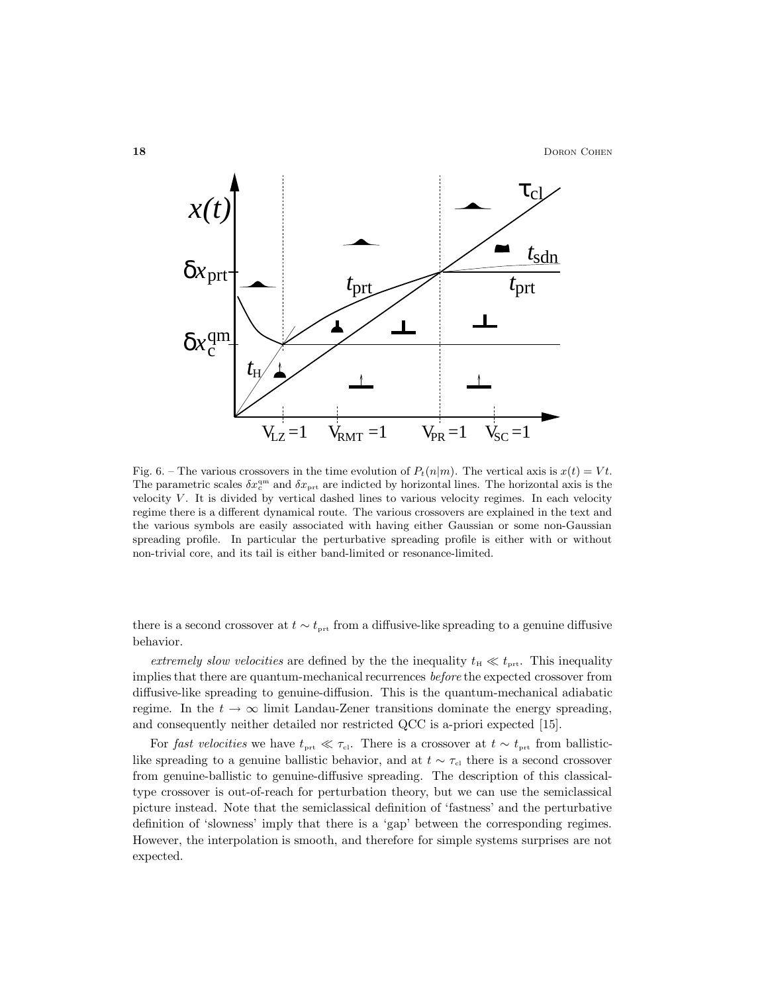

Fig. 6. – The various crossovers in the time evolution of  $P_t(n|m)$ . The vertical axis is  $x(t) = Vt$ . The parametric scales  $\delta x_c^{\text{qm}}$  and  $\delta x_{\text{prt}}$  are indicted by horizontal lines. The horizontal axis is the velocity  $V$ . It is divided by vertical dashed lines to various velocity regimes. In each velocity regime there is a different dynamical route. The various crossovers are explained in the text and the various symbols are easily associated with having either Gaussian or some non-Gaussian spreading profile. In particular the perturbative spreading profile is either with or without non-trivial core, and its tail is either band-limited or resonance-limited.

there is a second crossover at  $t \sim t_{\text{prt}}$  from a diffusive-like spreading to a genuine diffusive behavior.

extremely slow velocities are defined by the the inequality  $t_{\rm H} \ll t_{\rm prt}$ . This inequality implies that there are quantum-mechanical recurrences before the expected crossover from diffusive-like spreading to genuine-diffusion. This is the quantum-mechanical adiabatic regime. In the  $t \to \infty$  limit Landau-Zener transitions dominate the energy spreading, and consequently neither detailed nor restricted QCC is a-priori expected [15].

For fast velocities we have  $t_{\text{prt}} \ll \tau_{\text{cl}}$ . There is a crossover at  $t \sim t_{\text{prt}}$  from ballisticlike spreading to a genuine ballistic behavior, and at  $t \sim \tau_{\text{cl}}$  there is a second crossover from genuine-ballistic to genuine-diffusive spreading. The description of this classicaltype crossover is out-of-reach for perturbation theory, but we can use the semiclassical picture instead. Note that the semiclassical definition of 'fastness' and the perturbative definition of 'slowness' imply that there is a 'gap' between the corresponding regimes. However, the interpolation is smooth, and therefore for simple systems surprises are not expected.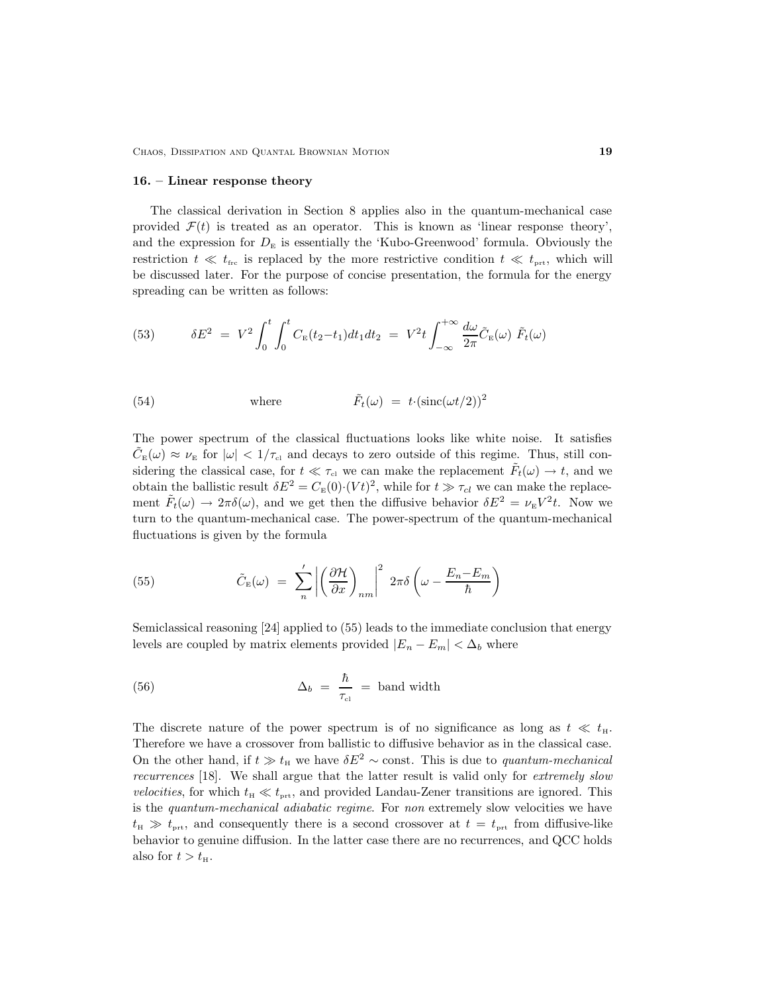CHAOS, DISSIPATION AND QUANTAL BROWNIAN MOTION 19

#### 16. – Linear response theory

The classical derivation in Section 8 applies also in the quantum-mechanical case provided  $\mathcal{F}(t)$  is treated as an operator. This is known as 'linear response theory', and the expression for  $D<sub>E</sub>$  is essentially the 'Kubo-Greenwood' formula. Obviously the restriction  $t \ll t_{\text{frc}}$  is replaced by the more restrictive condition  $t \ll t_{\text{prt}}$ , which will be discussed later. For the purpose of concise presentation, the formula for the energy spreading can be written as follows:

(53) 
$$
\delta E^2 = V^2 \int_0^t \int_0^t C_E(t_2 - t_1) dt_1 dt_2 = V^2 t \int_{-\infty}^{+\infty} \frac{d\omega}{2\pi} \tilde{C}_E(\omega) \tilde{F}_t(\omega)
$$

(54) where 
$$
\tilde{F}_t(\omega) = t \cdot (\text{sinc}(\omega t/2))^2
$$

The power spectrum of the classical fluctuations looks like white noise. It satisfies  $\tilde{C}_{E}(\omega) \approx \nu_{E}$  for  $|\omega| < 1/\tau_{c1}$  and decays to zero outside of this regime. Thus, still considering the classical case, for  $t \ll \tau_{\text{cl}}$  we can make the replacement  $\tilde{F}_t(\omega) \to t$ , and we obtain the ballistic result  $\delta E^2 = C_E(0) \cdot (Vt)^2$ , while for  $t \gg \tau_{cl}$  we can make the replacement  $\tilde{F}_t(\omega) \to 2\pi \delta(\omega)$ , and we get then the diffusive behavior  $\delta E^2 = \nu_{\rm E} V^2 t$ . Now we turn to the quantum-mechanical case. The power-spectrum of the quantum-mechanical fluctuations is given by the formula

(55) 
$$
\tilde{C}_{E}(\omega) = \sum_{n}^{\prime} \left| \left( \frac{\partial \mathcal{H}}{\partial x} \right)_{nm} \right|^{2} 2\pi \delta \left( \omega - \frac{E_{n} - E_{m}}{\hbar} \right)
$$

Semiclassical reasoning [24] applied to (55) leads to the immediate conclusion that energy levels are coupled by matrix elements provided  $|E_n - E_m| < \Delta_b$  where

(56) 
$$
\Delta_b = \frac{\hbar}{\tau_{\text{cl}}} = \text{band width}
$$

The discrete nature of the power spectrum is of no significance as long as  $t \ll t_{\text{H}}$ . Therefore we have a crossover from ballistic to diffusive behavior as in the classical case. On the other hand, if  $t \geq t_H$  we have  $\delta E^2 \sim$  const. This is due to *quantum-mechanical* recurrences [18]. We shall argue that the latter result is valid only for extremely slow *velocities*, for which  $t_{\rm H} \ll t_{\rm prt}$ , and provided Landau-Zener transitions are ignored. This is the quantum-mechanical adiabatic regime. For non extremely slow velocities we have  $t_{\rm H} \gg t_{\rm prt}$ , and consequently there is a second crossover at  $t = t_{\rm prt}$  from diffusive-like behavior to genuine diffusion. In the latter case there are no recurrences, and QCC holds also for  $t > t<sub>H</sub>$ .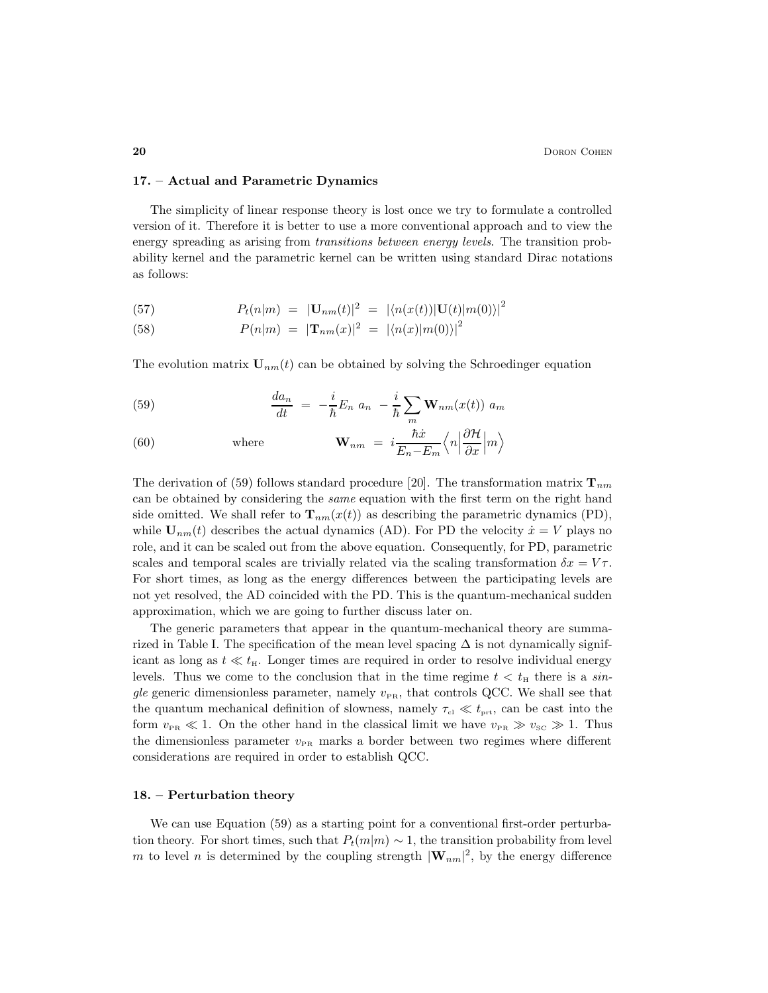#### 17. – Actual and Parametric Dynamics

The simplicity of linear response theory is lost once we try to formulate a controlled version of it. Therefore it is better to use a more conventional approach and to view the energy spreading as arising from *transitions between energy levels*. The transition probability kernel and the parametric kernel can be written using standard Dirac notations as follows:

(57) 
$$
P_t(n|m) = |\mathbf{U}_{nm}(t)|^2 = |\langle n(x(t))|\mathbf{U}(t)|m(0)\rangle|^2
$$

(58) 
$$
P(n|m) = |\mathbf{T}_{nm}(x)|^2 = |\langle n(x)|m(0)\rangle|^2
$$

The evolution matrix  $U_{nm}(t)$  can be obtained by solving the Schroedinger equation

(59) 
$$
\frac{da_n}{dt} = -\frac{i}{\hbar}E_n a_n - \frac{i}{\hbar}\sum_m \mathbf{W}_{nm}(x(t)) a_m
$$

(60) where 
$$
\mathbf{W}_{nm} = i \frac{\hbar \dot{x}}{E_n - E_m} \left\langle n \left| \frac{\partial \mathcal{H}}{\partial x} \right| m \right\rangle
$$

The derivation of (59) follows standard procedure [20]. The transformation matrix  $\mathbf{T}_{nm}$ can be obtained by considering the same equation with the first term on the right hand side omitted. We shall refer to  $\mathbf{T}_{nm}(x(t))$  as describing the parametric dynamics (PD), while  $U_{nm}(t)$  describes the actual dynamics (AD). For PD the velocity  $\dot{x} = V$  plays no role, and it can be scaled out from the above equation. Consequently, for PD, parametric scales and temporal scales are trivially related via the scaling transformation  $\delta x = V \tau$ . For short times, as long as the energy differences between the participating levels are not yet resolved, the AD coincided with the PD. This is the quantum-mechanical sudden approximation, which we are going to further discuss later on.

The generic parameters that appear in the quantum-mechanical theory are summarized in Table I. The specification of the mean level spacing  $\Delta$  is not dynamically significant as long as  $t \ll t_{\rm H}$ . Longer times are required in order to resolve individual energy levels. Thus we come to the conclusion that in the time regime  $t < t<sub>H</sub>$  there is a single generic dimensionless parameter, namely  $v_{PR}$ , that controls QCC. We shall see that the quantum mechanical definition of slowness, namely  $\tau_{\rm cl} \ll t_{\rm prt}$ , can be cast into the form  $v_{PR} \ll 1$ . On the other hand in the classical limit we have  $v_{PR} \gg v_{SC} \gg 1$ . Thus the dimensionless parameter  $v_{PR}$  marks a border between two regimes where different considerations are required in order to establish QCC.

## 18. – Perturbation theory

We can use Equation (59) as a starting point for a conventional first-order perturbation theory. For short times, such that  $P_t(m|m) \sim 1$ , the transition probability from level m to level n is determined by the coupling strength  $|\mathbf{W}_{nm}|^2$ , by the energy difference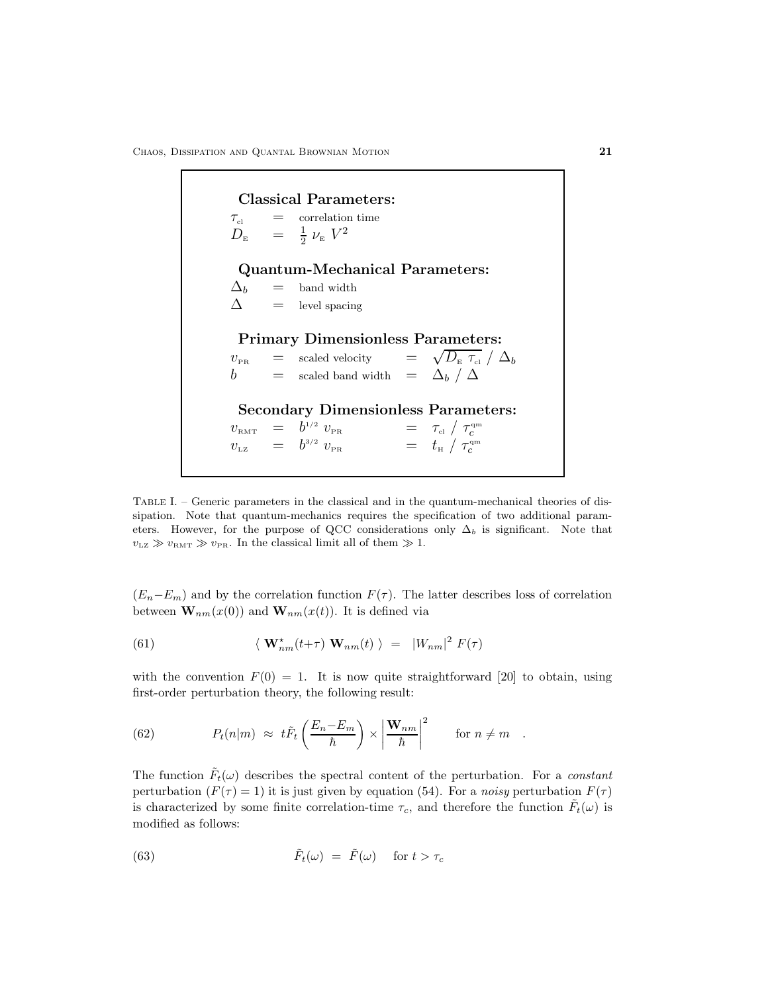Classical Parameters:  $\tau_{\text{cl}}$  = correlation time  $D_{\scriptscriptstyle\rm E}$ 1  $\frac{1}{2}$   $\nu_{\rm E}$   $V^2$ Quantum-Mechanical Parameters:  $\Delta_b$  = band width  $\Delta$  = level spacing Primary Dimensionless Parameters:  $v_{\text{PR}}$  = scaled velocity =  $\sqrt{D_{\text{E}} \tau_{\text{el}}} / \Delta_b$  $b$  = scaled band width =  $\Delta_b / \Delta$ Secondary Dimensionless Parameters:  $v_{\textrm{\tiny{RMT}}}$  =  $b$  $v_{\textrm{\tiny PR}}$  =  $\tau_{\textrm{\tiny cl}}$  /  $\tau_{c}^{\textrm{\tiny qm}}$  $v_{\text{\tiny LZ}} = b$  $v_{\textrm{\tiny PR}}$  =  $t_{\textrm{\tiny H}}$  /  $\tau^{\textrm{\tiny qm}}_{c}$ 

Table I. – Generic parameters in the classical and in the quantum-mechanical theories of dissipation. Note that quantum-mechanics requires the specification of two additional parameters. However, for the purpose of QCC considerations only  $\Delta_b$  is significant. Note that  $v_{\text{LZ}} \gg v_{\text{RMT}} \gg v_{\text{PR}}$ . In the classical limit all of them  $\gg 1$ .

 $(E_n-E_m)$  and by the correlation function  $F(\tau)$ . The latter describes loss of correlation between  $\mathbf{W}_{nm}(x(0))$  and  $\mathbf{W}_{nm}(x(t))$ . It is defined via

(61) 
$$
\langle \mathbf{W}_{nm}^{\star}(t+\tau) \mathbf{W}_{nm}(t) \rangle = |W_{nm}|^2 F(\tau)
$$

with the convention  $F(0) = 1$ . It is now quite straightforward [20] to obtain, using first-order perturbation theory, the following result:

(62) 
$$
P_t(n|m) \approx t \tilde{F}_t \left( \frac{E_n - E_m}{\hbar} \right) \times \left| \frac{\mathbf{W}_{nm}}{\hbar} \right|^2 \quad \text{for } n \neq m.
$$

The function  $\tilde{F}_t(\omega)$  describes the spectral content of the perturbation. For a *constant* perturbation  $(F(\tau) = 1)$  it is just given by equation (54). For a noisy perturbation  $F(\tau)$ is characterized by some finite correlation-time  $\tau_c$ , and therefore the function  $\tilde{F}_t(\omega)$  is modified as follows:

(63) 
$$
\tilde{F}_t(\omega) = \tilde{F}(\omega) \quad \text{for } t > \tau_c
$$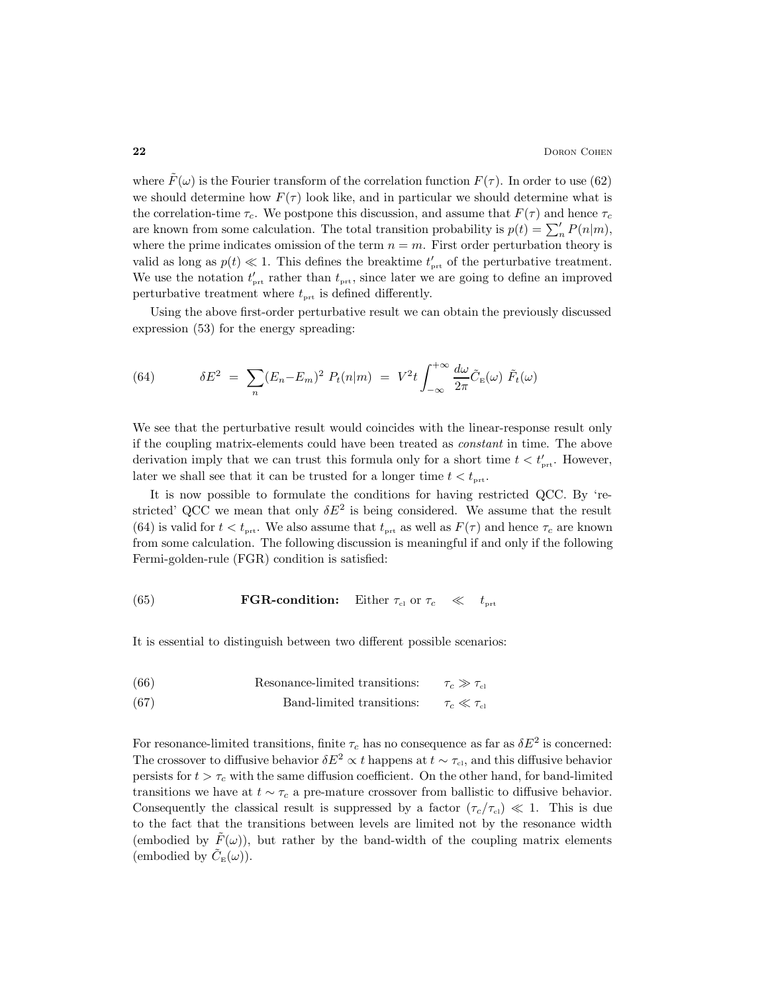where  $F(\omega)$  is the Fourier transform of the correlation function  $F(\tau)$ . In order to use (62) we should determine how  $F(\tau)$  look like, and in particular we should determine what is the correlation-time  $\tau_c$ . We postpone this discussion, and assume that  $F(\tau)$  and hence  $\tau_c$ are known from some calculation. The total transition probability is  $p(t) = \sum_{n=0}^{\infty} P(n|m)$ , where the prime indicates omission of the term  $n = m$ . First order perturbation theory is valid as long as  $p(t) \ll 1$ . This defines the breaktime  $t'_{\text{prt}}$  of the perturbative treatment. We use the notation  $t'_{\text{prt}}$  rather than  $t_{\text{prt}}$ , since later we are going to define an improved perturbative treatment where  $t_{\text{prt}}$  is defined differently.

Using the above first-order perturbative result we can obtain the previously discussed expression (53) for the energy spreading:

(64) 
$$
\delta E^2 = \sum_n (E_n - E_m)^2 P_t(n|m) = V^2 t \int_{-\infty}^{+\infty} \frac{d\omega}{2\pi} \tilde{C}_{\rm E}(\omega) \tilde{F}_t(\omega)
$$

We see that the perturbative result would coincides with the linear-response result only if the coupling matrix-elements could have been treated as constant in time. The above derivation imply that we can trust this formula only for a short time  $t < t'_{\text{prt}}$ . However, later we shall see that it can be trusted for a longer time  $t < t_{\text{prt}}$ .

It is now possible to formulate the conditions for having restricted QCC. By 'restricted' QCC we mean that only  $\delta E^2$  is being considered. We assume that the result (64) is valid for  $t < t_{\text{prt}}$ . We also assume that  $t_{\text{prt}}$  as well as  $F(\tau)$  and hence  $\tau_c$  are known from some calculation. The following discussion is meaningful if and only if the following Fermi-golden-rule (FGR) condition is satisfied:

(65) **FGR-condition:** Either 
$$
\tau_{\text{cl}}
$$
 or  $\tau_c \ll t_{\text{prt}}$ 

It is essential to distinguish between two different possible scenarios:

(66) Resonance-limited transitions: 
$$
\tau_c \gg \tau_{\text{cl}}
$$

(67) Band-limited transitions: 
$$
\tau_c \ll \tau_{cl}
$$

For resonance-limited transitions, finite  $\tau_c$  has no consequence as far as  $\delta E^2$  is concerned: The crossover to diffusive behavior  $\delta E^2 \propto t$  happens at  $t \sim \tau_{c1}$ , and this diffusive behavior persists for  $t > \tau_c$  with the same diffusion coefficient. On the other hand, for band-limited transitions we have at  $t \sim \tau_c$  a pre-mature crossover from ballistic to diffusive behavior. Consequently the classical result is suppressed by a factor  $(\tau_c/\tau_{c}) \ll 1$ . This is due to the fact that the transitions between levels are limited not by the resonance width (embodied by  $\tilde{F}(\omega)$ ), but rather by the band-width of the coupling matrix elements (embodied by  $\tilde{C}_{\text{E}}(\omega)$ ).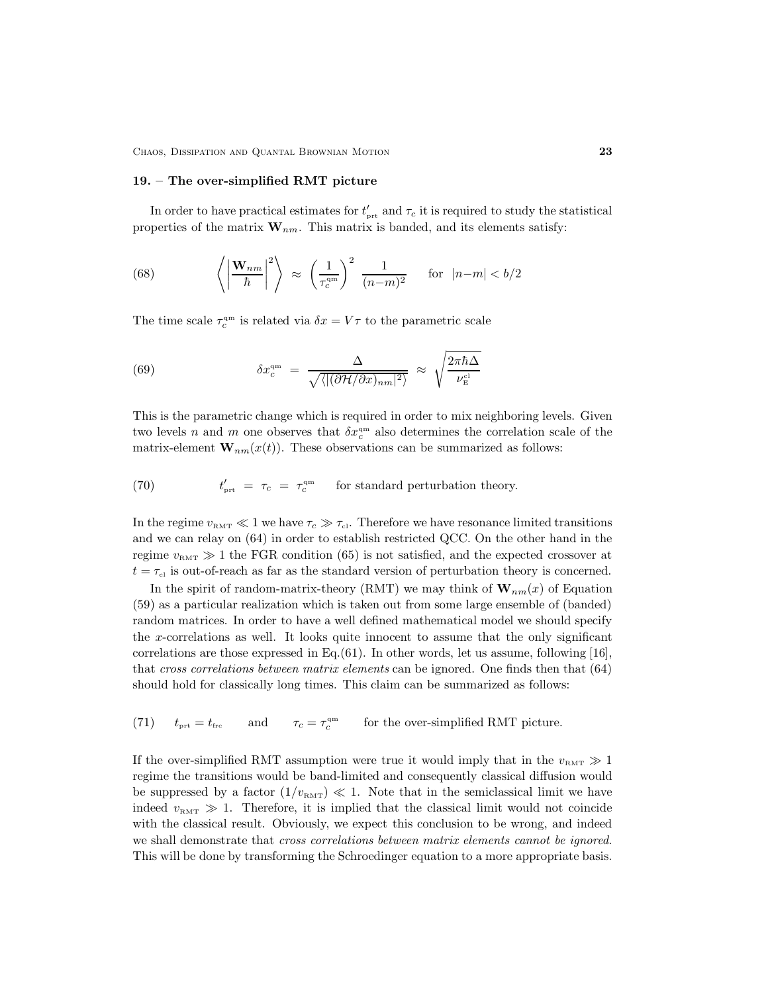CHAOS, DISSIPATION AND QUANTAL BROWNIAN MOTION 23

#### 19. – The over-simplified RMT picture

In order to have practical estimates for  $t'_{\text{prt}}$  and  $\tau_c$  it is required to study the statistical properties of the matrix  $\mathbf{W}_{nm}$ . This matrix is banded, and its elements satisfy:

(68) 
$$
\left\langle \left| \frac{\mathbf{W}_{nm}}{\hbar} \right|^2 \right\rangle \approx \left( \frac{1}{\tau_c^{\text{qm}}} \right)^2 \frac{1}{(n-m)^2} \quad \text{for } |n-m| < b/2
$$

The time scale  $\tau_c^{\text{qm}}$  is related via  $\delta x = V\tau$  to the parametric scale

(69) 
$$
\delta x_c^{\rm qm} = \frac{\Delta}{\sqrt{\langle |(\partial \mathcal{H}/\partial x)_{nm}|^2 \rangle}} \approx \sqrt{\frac{2\pi\hbar\Delta}{\nu_{\rm E}^{\rm cl}}}
$$

This is the parametric change which is required in order to mix neighboring levels. Given two levels n and m one observes that  $\delta x_c^{\text{qm}}$  also determines the correlation scale of the matrix-element  $\mathbf{W}_{nm}(x(t))$ . These observations can be summarized as follows:

(70) 
$$
t'_{\text{prt}} = \tau_c = \tau_c^{\text{qm}} \quad \text{for standard perturbation theory.}
$$

In the regime  $v_{\text{RMT}} \ll 1$  we have  $\tau_c \gg \tau_{\text{cl}}$ . Therefore we have resonance limited transitions and we can relay on (64) in order to establish restricted QCC. On the other hand in the regime  $v<sub>RMT</sub> \gg 1$  the FGR condition (65) is not satisfied, and the expected crossover at  $t = \tau_{\text{cl}}$  is out-of-reach as far as the standard version of perturbation theory is concerned.

In the spirit of random-matrix-theory (RMT) we may think of  $\mathbf{W}_{nm}(x)$  of Equation (59) as a particular realization which is taken out from some large ensemble of (banded) random matrices. In order to have a well defined mathematical model we should specify the x-correlations as well. It looks quite innocent to assume that the only significant correlations are those expressed in Eq. $(61)$ . In other words, let us assume, following [16], that cross correlations between matrix elements can be ignored. One finds then that (64) should hold for classically long times. This claim can be summarized as follows:

(71) 
$$
t_{\text{prt}} = t_{\text{frc}}
$$
 and  $\tau_c = \tau_c^{\text{qm}}$  for the over-simplified RMT picture.

If the over-simplified RMT assumption were true it would imply that in the  $v_{\text{RMT}} \gg 1$ regime the transitions would be band-limited and consequently classical diffusion would be suppressed by a factor  $(1/v_{RMT}) \ll 1$ . Note that in the semiclassical limit we have indeed  $v<sub>RMT</sub> \gg 1$ . Therefore, it is implied that the classical limit would not coincide with the classical result. Obviously, we expect this conclusion to be wrong, and indeed we shall demonstrate that *cross correlations between matrix elements cannot be ignored*. This will be done by transforming the Schroedinger equation to a more appropriate basis.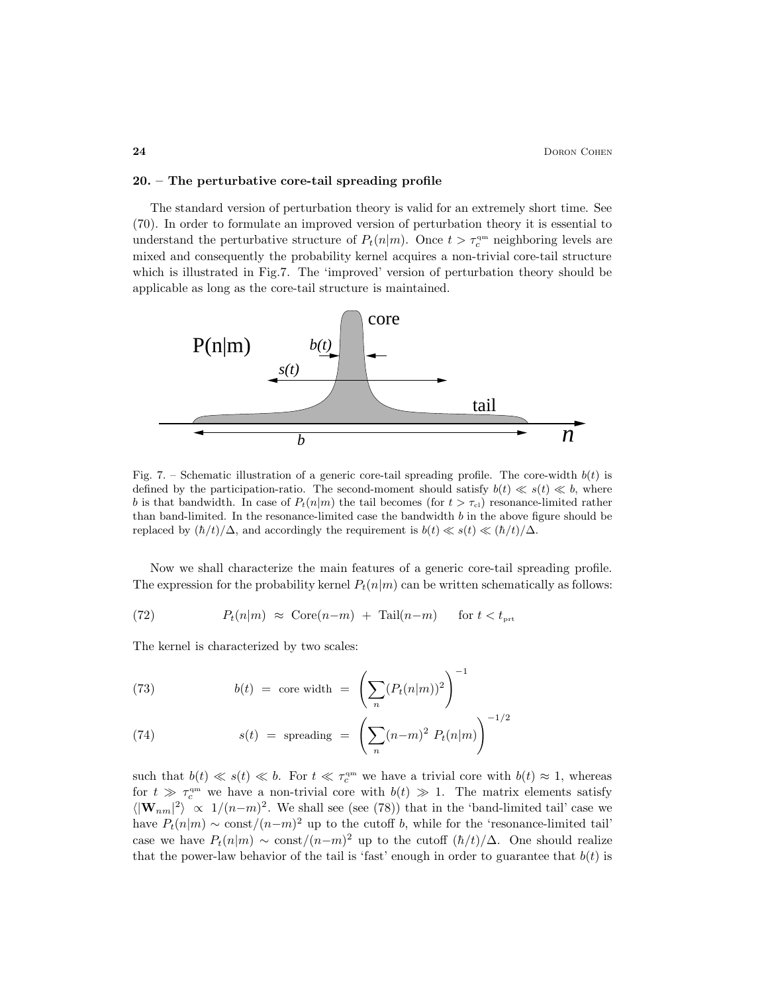#### 20. – The perturbative core-tail spreading profile

The standard version of perturbation theory is valid for an extremely short time. See (70). In order to formulate an improved version of perturbation theory it is essential to understand the perturbative structure of  $P_t(n|m)$ . Once  $t > \tau_c^{\text{qm}}$  neighboring levels are mixed and consequently the probability kernel acquires a non-trivial core-tail structure which is illustrated in Fig.7. The 'improved' version of perturbation theory should be applicable as long as the core-tail structure is maintained.



Fig. 7. – Schematic illustration of a generic core-tail spreading profile. The core-width  $b(t)$  is defined by the participation-ratio. The second-moment should satisfy  $b(t) \ll s(t) \ll b$ , where b is that bandwidth. In case of  $P_t(n|m)$  the tail becomes (for  $t > \tau_{\text{cl}}$ ) resonance-limited rather than band-limited. In the resonance-limited case the bandwidth b in the above figure should be replaced by  $(\hbar/t)/\Delta$ , and accordingly the requirement is  $b(t) \ll s(t) \ll (\hbar/t)/\Delta$ .

Now we shall characterize the main features of a generic core-tail spreading profile. The expression for the probability kernel  $P_t(n|m)$  can be written schematically as follows:

(72) 
$$
P_t(n|m) \approx \text{Core}(n-m) + \text{Tail}(n-m) \quad \text{for } t < t_{\text{prt}}
$$

The kernel is characterized by two scales:

(73) 
$$
b(t) = \text{core width} = \left(\sum_{n} (P_t(n|m))^2\right)^{-1}
$$

(74) 
$$
s(t) = \text{spreading } = \left(\sum_{n} (n-m)^2 P_t(n|m)\right)^{-1/2}
$$

such that  $b(t) \ll s(t) \ll b$ . For  $t \ll \tau_c^{\rm qm}$  we have a trivial core with  $b(t) \approx 1$ , whereas for  $t \gg \tau_c^{\text{qm}}$  we have a non-trivial core with  $b(t) \gg 1$ . The matrix elements satisfy  $\langle |\mathbf{W}_{nm}|^2 \rangle \propto 1/(n-m)^2$ . We shall see (see (78)) that in the 'band-limited tail' case we have  $P_t(n|m) \sim \text{const}/(n-m)^2$  up to the cutoff b, while for the 'resonance-limited tail' case we have  $P_t(n|m) \sim \text{const}/(n-m)^2$  up to the cutoff  $(\hbar/t)/\Delta$ . One should realize that the power-law behavior of the tail is 'fast' enough in order to guarantee that  $b(t)$  is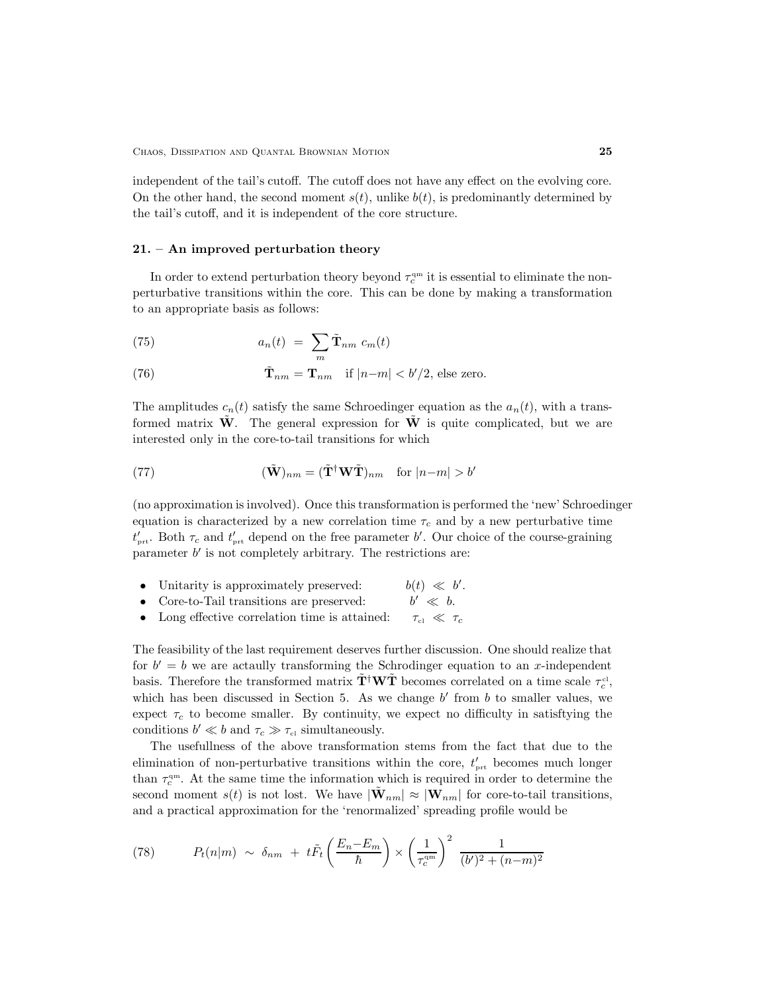independent of the tail's cutoff. The cutoff does not have any effect on the evolving core. On the other hand, the second moment  $s(t)$ , unlike  $b(t)$ , is predominantly determined by the tail's cutoff, and it is independent of the core structure.

### 21. – An improved perturbation theory

In order to extend perturbation theory beyond  $\tau_c^{\text{qm}}$  it is essential to eliminate the nonperturbative transitions within the core. This can be done by making a transformation to an appropriate basis as follows:

(75) 
$$
a_n(t) = \sum_m \tilde{\mathbf{T}}_{nm} c_m(t)
$$

(76) 
$$
\tilde{\mathbf{T}}_{nm} = \mathbf{T}_{nm} \quad \text{if } |n-m| < b'/2 \text{, else zero.}
$$

The amplitudes  $c_n(t)$  satisfy the same Schroedinger equation as the  $a_n(t)$ , with a transformed matrix  $\tilde{W}$ . The general expression for  $\tilde{W}$  is quite complicated, but we are interested only in the core-to-tail transitions for which

(77) 
$$
(\tilde{\mathbf{W}})_{nm} = (\tilde{\mathbf{T}}^{\dagger} \mathbf{W} \tilde{\mathbf{T}})_{nm} \text{ for } |n-m| > b'
$$

(no approximation is involved). Once this transformation is performed the 'new' Schroedinger equation is characterized by a new correlation time  $\tau_c$  and by a new perturbative time  $t'_{\text{prt}}$ . Both  $\tau_c$  and  $t'_{\text{prt}}$  depend on the free parameter b'. Our choice of the course-graining parameter  $b'$  is not completely arbitrary. The restrictions are:

- Unitarity is approximately preserved:  $\cdot$
- Core-to-Tail transitions are preserved:  $b' \ll b$ .<br>• Long effective correlation time is attained:  $\tau_{c1} \ll \tau_c$  $b' \ll b$ .
- Long effective correlation time is attained:

The feasibility of the last requirement deserves further discussion. One should realize that for  $b' = b$  we are actaully transforming the Schrodinger equation to an x-independent basis. Therefore the transformed matrix  $\tilde{\bf T}^{\dagger}{\bf W}\tilde{\bf T}$  becomes correlated on a time scale  $\tau_c^{\text{cl}}$ , which has been discussed in Section 5. As we change  $b'$  from b to smaller values, we expect  $\tau_c$  to become smaller. By continuity, we expect no difficulty in satisftying the conditions  $b' \ll b$  and  $\tau_c \gg \tau_{\rm cl}$  simultaneously.

The usefullness of the above transformation stems from the fact that due to the elimination of non-perturbative transitions within the core,  $t'_{\text{prt}}$  becomes much longer than  $\tau_c^{\text{qm}}$ . At the same time the information which is required in order to determine the second moment  $s(t)$  is not lost. We have  $|\tilde{\mathbf{W}}_{nm}| \approx |\mathbf{W}_{nm}|$  for core-to-tail transitions, and a practical approximation for the 'renormalized' spreading profile would be

(78) 
$$
P_t(n|m) \sim \delta_{nm} + t\tilde{F}_t\left(\frac{E_n - E_m}{\hbar}\right) \times \left(\frac{1}{\tau_c^{\rm qm}}\right)^2 \frac{1}{(b')^2 + (n-m)^2}
$$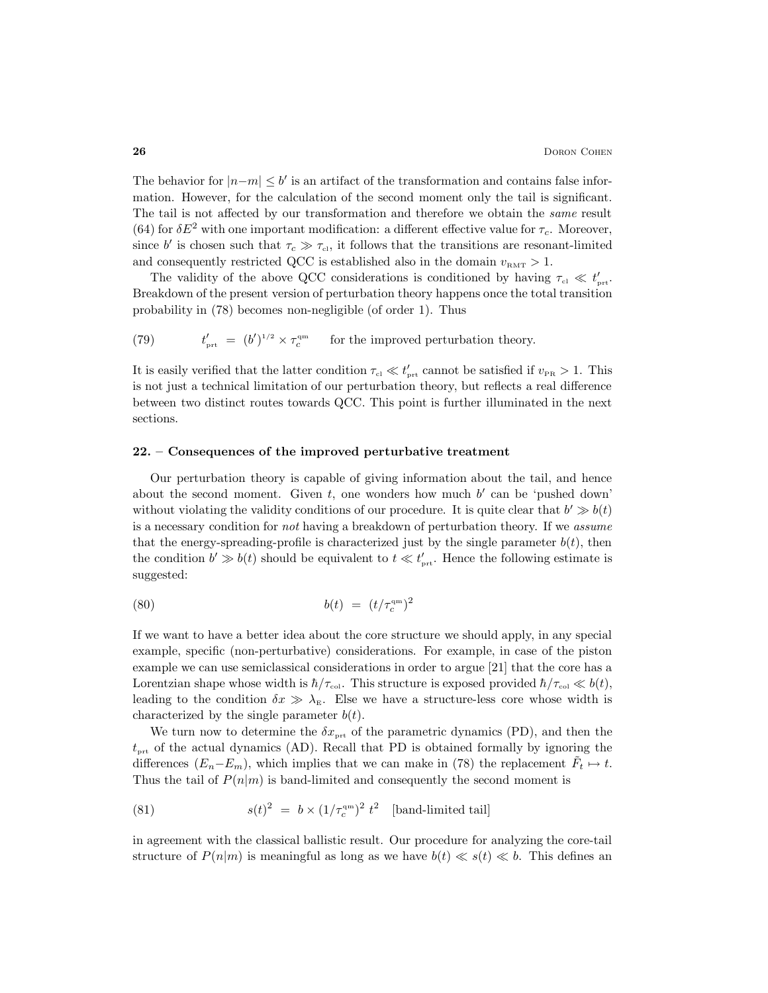The behavior for  $|n-m| \leq b'$  is an artifact of the transformation and contains false information. However, for the calculation of the second moment only the tail is significant. The tail is not affected by our transformation and therefore we obtain the *same* result (64) for  $\delta E^2$  with one important modification: a different effective value for  $\tau_c$ . Moreover, since b' is chosen such that  $\tau_c \gg \tau_{\text{cl}}$ , it follows that the transitions are resonant-limited and consequently restricted QCC is established also in the domain  $v<sub>RMT</sub> > 1$ .

The validity of the above QCC considerations is conditioned by having  $\tau_{\rm cl} \ll t'_{\rm pret}$ . Breakdown of the present version of perturbation theory happens once the total transition probability in (78) becomes non-negligible (of order 1). Thus

(79) 
$$
t'_{\text{prt}} = (b')^{1/2} \times \tau_c^{\text{qm}} \quad \text{for the improved perturbation theory.}
$$

It is easily verified that the latter condition  $\tau_{\rm cl} \ll t'_{\rm prt}$  cannot be satisfied if  $v_{\rm PR} > 1$ . This is not just a technical limitation of our perturbation theory, but reflects a real difference between two distinct routes towards QCC. This point is further illuminated in the next sections.

## 22. – Consequences of the improved perturbative treatment

Our perturbation theory is capable of giving information about the tail, and hence about the second moment. Given  $t$ , one wonders how much  $b'$  can be 'pushed down' without violating the validity conditions of our procedure. It is quite clear that  $b' \gg b(t)$ is a necessary condition for not having a breakdown of perturbation theory. If we assume that the energy-spreading-profile is characterized just by the single parameter  $b(t)$ , then the condition  $b' \gg b(t)$  should be equivalent to  $t \ll t'_{\text{prt}}$ . Hence the following estimate is suggested:

(80) 
$$
b(t) = (t/\tau_c^{\rm qm})^2
$$

If we want to have a better idea about the core structure we should apply, in any special example, specific (non-perturbative) considerations. For example, in case of the piston example we can use semiclassical considerations in order to argue [21] that the core has a Lorentzian shape whose width is  $\hbar/\tau_{\rm col}$ . This structure is exposed provided  $\hbar/\tau_{\rm col} \ll b(t)$ , leading to the condition  $\delta x \gg \lambda_{\rm E}$ . Else we have a structure-less core whose width is characterized by the single parameter  $b(t)$ .

We turn now to determine the  $\delta x_{\text{prt}}$  of the parametric dynamics (PD), and then the  $t_{\text{prt}}$  of the actual dynamics (AD). Recall that PD is obtained formally by ignoring the differences  $(E_n - E_m)$ , which implies that we can make in (78) the replacement  $\tilde{F}_t \mapsto t$ . Thus the tail of  $P(n|m)$  is band-limited and consequently the second moment is

(81) 
$$
s(t)^2 = b \times (1/\tau_c^{\rm am})^2 t^2 \quad \text{[band-limited tail]}
$$

in agreement with the classical ballistic result. Our procedure for analyzing the core-tail structure of  $P(n|m)$  is meaningful as long as we have  $b(t) \ll s(t) \ll b$ . This defines an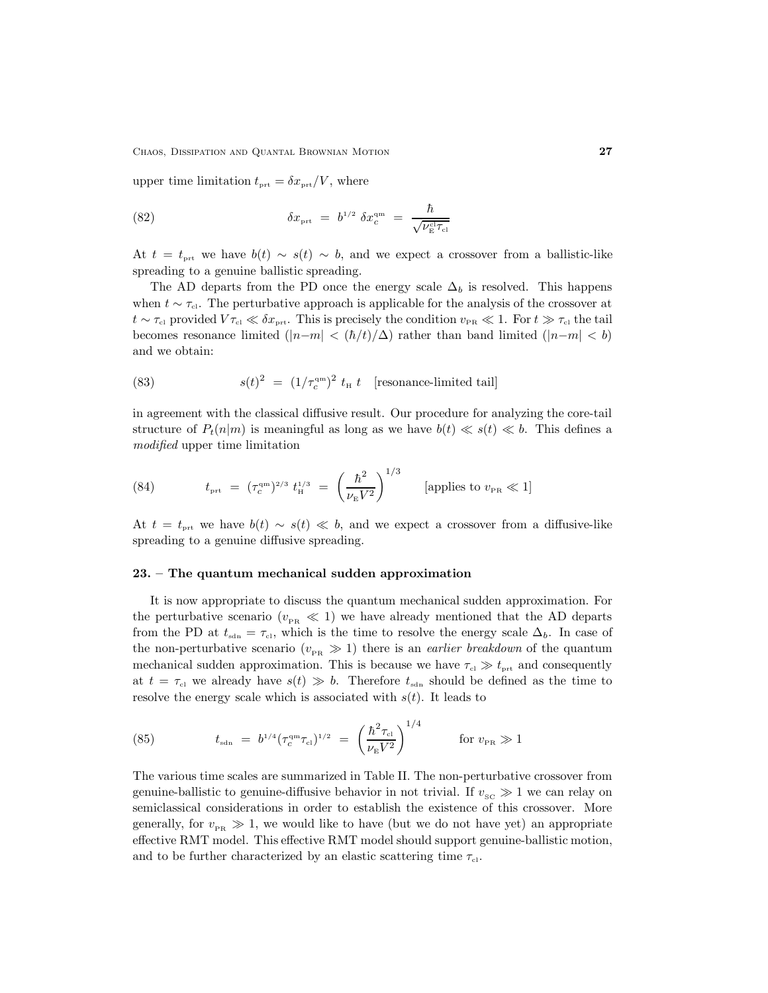CHAOS, DISSIPATION AND QUANTAL BROWNIAN MOTION 27

upper time limitation  $t_{\text{prt}} = \delta x_{\text{prt}}/V$ , where

(82) 
$$
\delta x_{\text{prt}} = b^{1/2} \delta x_c^{\text{qm}} = \frac{\hbar}{\sqrt{\nu_{\text{E}}^{\text{cl}} \tau_{\text{cl}}}}
$$

At  $t = t_{\text{prt}}$  we have  $b(t) \sim s(t) \sim b$ , and we expect a crossover from a ballistic-like spreading to a genuine ballistic spreading.

The AD departs from the PD once the energy scale  $\Delta_b$  is resolved. This happens when  $t \sim \tau_{\text{cl}}$ . The perturbative approach is applicable for the analysis of the crossover at  $t \sim \tau_{\rm cl}$  provided  $V \tau_{\rm cl} \ll \delta x_{\rm prt}$ . This is precisely the condition  $v_{\rm PR} \ll 1$ . For  $t \gg \tau_{\rm cl}$  the tail becomes resonance limited  $(|n-m| < (\hbar/t)/\Delta)$  rather than band limited  $(|n-m| < b)$ and we obtain:

(83) 
$$
s(t)^2 = (1/\tau_c^{\rm qm})^2 t_{\rm H} t \quad \text{[resonance-limited tail]}
$$

in agreement with the classical diffusive result. Our procedure for analyzing the core-tail structure of  $P_t(n|m)$  is meaningful as long as we have  $b(t) \ll s(t) \ll b$ . This defines a modified upper time limitation

(84) 
$$
t_{\text{prt}} = (\tau_c^{\text{qm}})^{2/3} t_H^{1/3} = \left(\frac{\hbar^2}{\nu_E V^2}\right)^{1/3}
$$
 [applies to  $v_{\text{PR}} \ll 1$ ]

At  $t = t_{\text{ort}}$  we have  $b(t) \sim s(t) \ll b$ , and we expect a crossover from a diffusive-like spreading to a genuine diffusive spreading.

## 23. – The quantum mechanical sudden approximation

It is now appropriate to discuss the quantum mechanical sudden approximation. For the perturbative scenario ( $v_{PR} \ll 1$ ) we have already mentioned that the AD departs from the PD at  $t_{\text{sdn}} = \tau_{\text{cl}}$ , which is the time to resolve the energy scale  $\Delta_b$ . In case of the non-perturbative scenario  $(v_{PR} \gg 1)$  there is an *earlier breakdown* of the quantum mechanical sudden approximation. This is because we have  $\tau_{el} \gg t_{\text{prt}}$  and consequently at  $t = \tau_{\text{el}}$  we already have  $s(t) \gg b$ . Therefore  $t_{\text{sdn}}$  should be defined as the time to resolve the energy scale which is associated with  $s(t)$ . It leads to

(85) 
$$
t_{\rm sdn} = b^{1/4} (\tau_c^{\rm qm} \tau_{\rm cl})^{1/2} = \left(\frac{\hbar^2 \tau_{\rm cl}}{\nu_{\rm E} V^2}\right)^{1/4} \quad \text{for } v_{\rm PR} \gg 1
$$

The various time scales are summarized in Table II. The non-perturbative crossover from genuine-ballistic to genuine-diffusive behavior in not trivial. If  $v_{\rm sc} \gg 1$  we can relay on semiclassical considerations in order to establish the existence of this crossover. More generally, for  $v_{\rm PR} \gg 1$ , we would like to have (but we do not have yet) an appropriate effective RMT model. This effective RMT model should support genuine-ballistic motion, and to be further characterized by an elastic scattering time  $\tau_{cl}$ .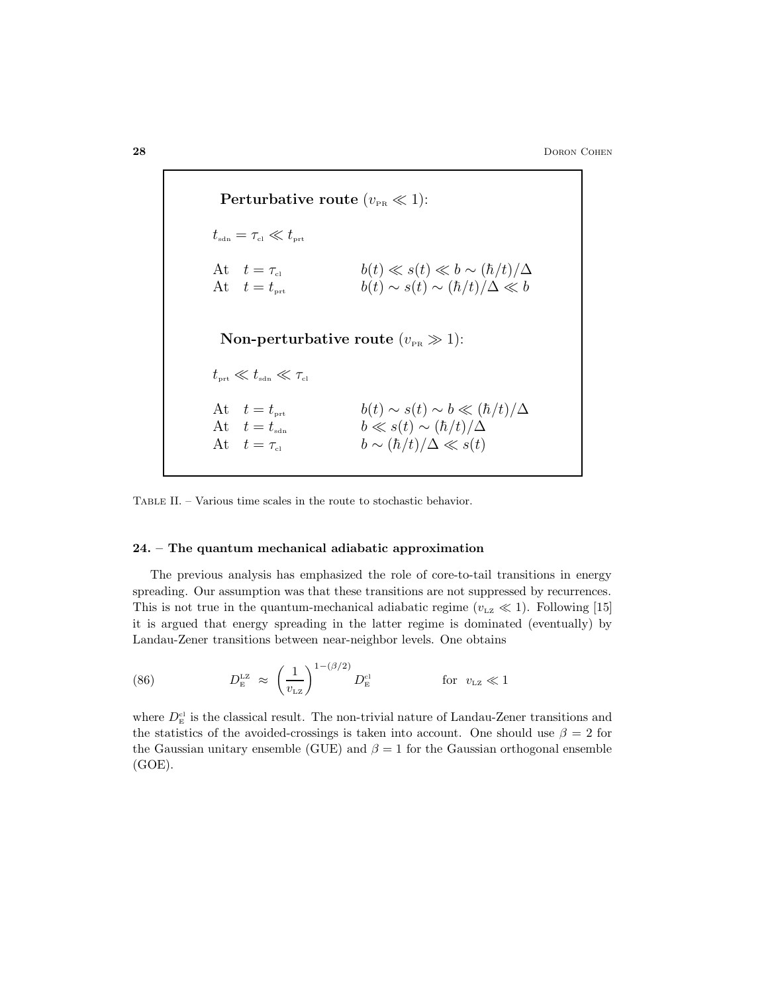Perturbative route  $(v_{\text{PR}} \ll 1)$ :  $t_{\textrm{\tiny sdn}} = \tau_{\textrm{\tiny cl}} \ll t_{\textrm{\tiny prt}}$ At  $t = \tau_{\text{cl}}$   $b(t) \ll s(t) \ll b \sim (\hbar/t)/\Delta$ At  $t = t_{\text{prt}}$   $b(t) \sim s(t) \sim (\hbar/t)/\Delta \ll b$ Non-perturbative route  $(v_{\text{PR}} \gg 1)$ :  $t_{\mbox{\tiny\rm{ort}}} \ll t_{\mbox{\tiny{sdn}}} \ll \tau_{\mbox{\tiny{cl}}}$ At  $t = t_{\text{prt}}$   $b(t) \sim s(t) \sim b \ll (\hbar/t)/\Delta$ At  $t = t_{\text{sdn}}$   $b \ll s(t) \sim (\hbar/t)/\Delta$ At  $t = \tau_{c1}$   $b \sim (\hbar/t)/\Delta \ll s(t)$ 

Table II. – Various time scales in the route to stochastic behavior.

#### 24. – The quantum mechanical adiabatic approximation

The previous analysis has emphasized the role of core-to-tail transitions in energy spreading. Our assumption was that these transitions are not suppressed by recurrences. This is not true in the quantum-mechanical adiabatic regime ( $v_{\text{LZ}} \ll 1$ ). Following [15] it is argued that energy spreading in the latter regime is dominated (eventually) by Landau-Zener transitions between near-neighbor levels. One obtains

(86) 
$$
D_{\rm E}^{\rm LZ} \approx \left(\frac{1}{v_{\rm LZ}}\right)^{1-(\beta/2)} D_{\rm E}^{\rm cl} \qquad \qquad \text{for} \ \ v_{\rm LZ} \ll 1
$$

where  $D_{\rm E}^{\rm cl}$  is the classical result. The non-trivial nature of Landau-Zener transitions and the statistics of the avoided-crossings is taken into account. One should use  $\beta = 2$  for the Gaussian unitary ensemble (GUE) and  $\beta = 1$  for the Gaussian orthogonal ensemble (GOE).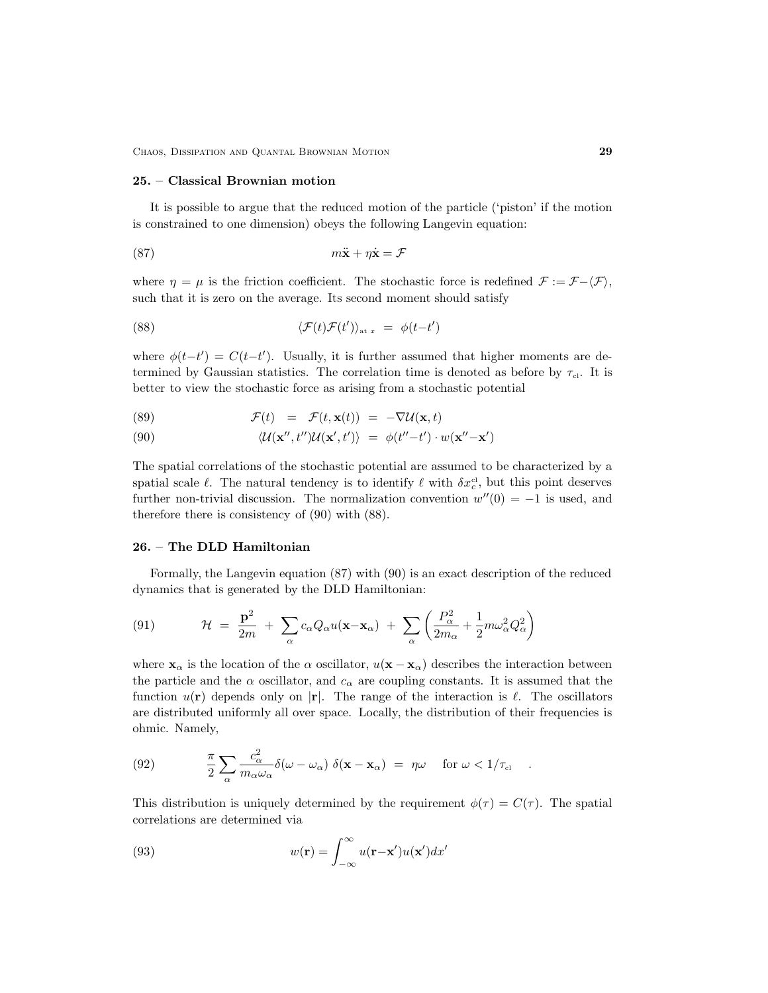CHAOS, DISSIPATION AND QUANTAL BROWNIAN MOTION 29

#### 25. – Classical Brownian motion

It is possible to argue that the reduced motion of the particle ('piston' if the motion is constrained to one dimension) obeys the following Langevin equation:

$$
(87) \t m\ddot{x} + \eta \dot{x} = \mathcal{F}
$$

where  $\eta = \mu$  is the friction coefficient. The stochastic force is redefined  $\mathcal{F} := \mathcal{F} - \langle \mathcal{F} \rangle$ , such that it is zero on the average. Its second moment should satisfy

(88) 
$$
\langle \mathcal{F}(t)\mathcal{F}(t')\rangle_{\text{at }x} = \phi(t-t')
$$

where  $\phi(t-t') = C(t-t')$ . Usually, it is further assumed that higher moments are determined by Gaussian statistics. The correlation time is denoted as before by  $\tau_{cl}$ . It is better to view the stochastic force as arising from a stochastic potential

(89) 
$$
\mathcal{F}(t) = \mathcal{F}(t, \mathbf{x}(t)) = -\nabla \mathcal{U}(\mathbf{x}, t)
$$

(90) 
$$
\langle \mathcal{U}(\mathbf{x}'',t'')\mathcal{U}(\mathbf{x}',t')\rangle = \phi(t''-t')\cdot w(\mathbf{x}''-\mathbf{x}')
$$

The spatial correlations of the stochastic potential are assumed to be characterized by a spatial scale  $\ell$ . The natural tendency is to identify  $\ell$  with  $\delta x_c^{\text{cl}}$ , but this point deserves further non-trivial discussion. The normalization convention  $w''(0) = -1$  is used, and therefore there is consistency of (90) with (88).

#### 26. – The DLD Hamiltonian

Formally, the Langevin equation (87) with (90) is an exact description of the reduced dynamics that is generated by the DLD Hamiltonian:

(91) 
$$
\mathcal{H} = \frac{\mathbf{p}^2}{2m} + \sum_{\alpha} c_{\alpha} Q_{\alpha} u(\mathbf{x} - \mathbf{x}_{\alpha}) + \sum_{\alpha} \left( \frac{P_{\alpha}^2}{2m_{\alpha}} + \frac{1}{2} m \omega_{\alpha}^2 Q_{\alpha}^2 \right)
$$

where  $\mathbf{x}_{\alpha}$  is the location of the  $\alpha$  oscillator,  $u(\mathbf{x} - \mathbf{x}_{\alpha})$  describes the interaction between the particle and the  $\alpha$  oscillator, and  $c_{\alpha}$  are coupling constants. It is assumed that the function  $u(\mathbf{r})$  depends only on  $|\mathbf{r}|$ . The range of the interaction is  $\ell$ . The oscillators are distributed uniformly all over space. Locally, the distribution of their frequencies is ohmic. Namely,

(92) 
$$
\frac{\pi}{2} \sum_{\alpha} \frac{c_{\alpha}^2}{m_{\alpha} \omega_{\alpha}} \delta(\omega - \omega_{\alpha}) \delta(\mathbf{x} - \mathbf{x}_{\alpha}) = \eta \omega \quad \text{for } \omega < 1/\tau_{\text{cl}}.
$$

This distribution is uniquely determined by the requirement  $\phi(\tau) = C(\tau)$ . The spatial correlations are determined via

(93) 
$$
w(\mathbf{r}) = \int_{-\infty}^{\infty} u(\mathbf{r} - \mathbf{x}') u(\mathbf{x}') dx'
$$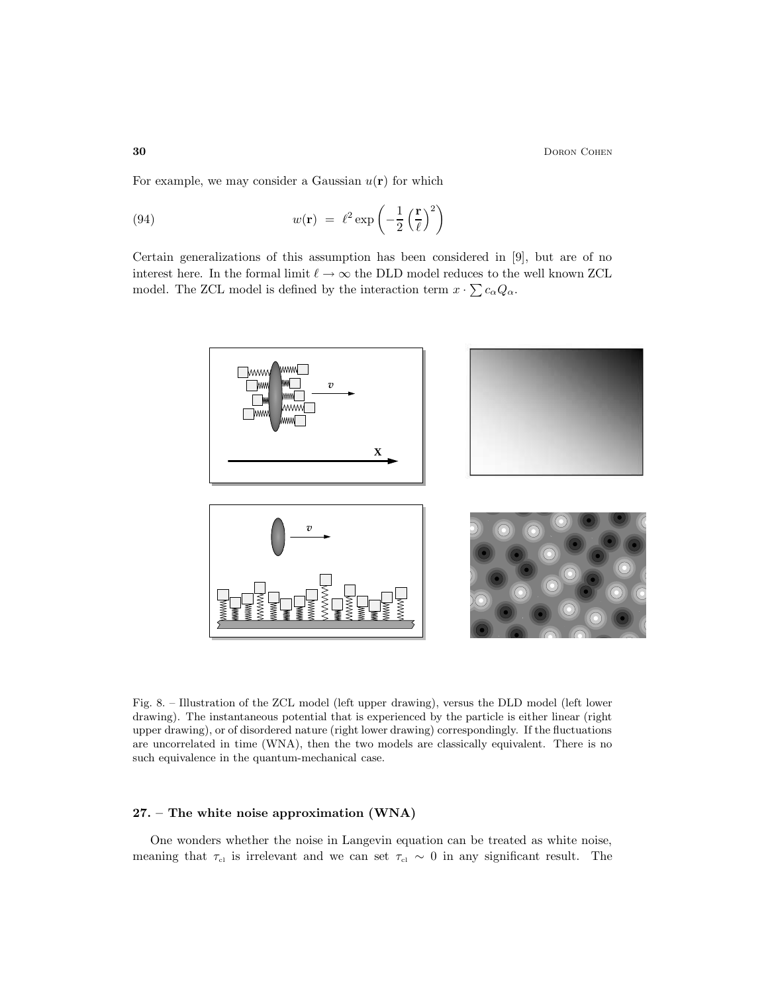**30** Doron Cohen **Doron Cohen** 

For example, we may consider a Gaussian  $u(\mathbf{r})$  for which

(94) 
$$
w(\mathbf{r}) = \ell^2 \exp\left(-\frac{1}{2}\left(\frac{\mathbf{r}}{\ell}\right)^2\right)
$$

Certain generalizations of this assumption has been considered in [9], but are of no interest here. In the formal limit  $\ell \to \infty$  the DLD model reduces to the well known ZCL model. The ZCL model is defined by the interaction term  $x \cdot \sum c_{\alpha} Q_{\alpha}$ .



Fig. 8. – Illustration of the ZCL model (left upper drawing), versus the DLD model (left lower drawing). The instantaneous potential that is experienced by the particle is either linear (right upper drawing), or of disordered nature (right lower drawing) correspondingly. If the fluctuations are uncorrelated in time (WNA), then the two models are classically equivalent. There is no such equivalence in the quantum-mechanical case.

## 27. – The white noise approximation (WNA)

One wonders whether the noise in Langevin equation can be treated as white noise, meaning that  $\tau_{\rm cl}$  is irrelevant and we can set  $\tau_{\rm cl} \sim 0$  in any significant result. The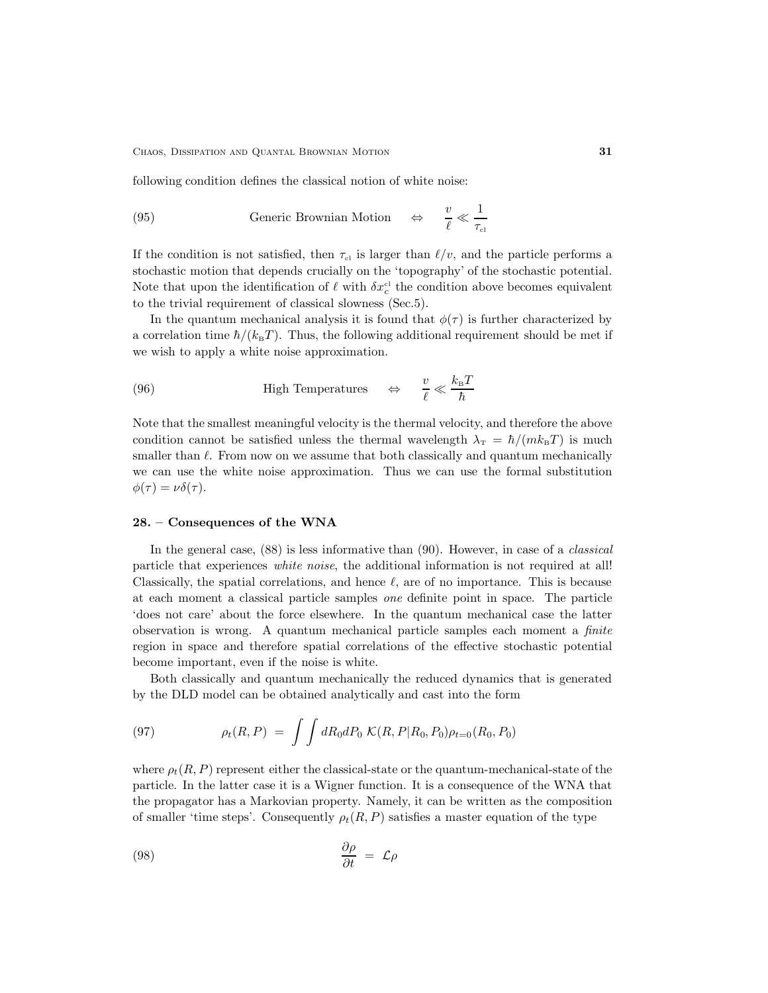following condition defines the classical notion of white noise:

(95) 
$$
\text{Generic Brownian Motion} \quad \Leftrightarrow \quad \frac{v}{\ell} \ll \frac{1}{\tau_{\text{cl}}}
$$

If the condition is not satisfied, then  $\tau_{\rm cl}$  is larger than  $\ell/v$ , and the particle performs a stochastic motion that depends crucially on the 'topography' of the stochastic potential. Note that upon the identification of  $\ell$  with  $\delta x_c^{\text{cl}}$  the condition above becomes equivalent to the trivial requirement of classical slowness (Sec.5).

In the quantum mechanical analysis it is found that  $\phi(\tau)$  is further characterized by a correlation time  $\hbar/(k_{\rm B}T)$ . Thus, the following additional requirement should be met if we wish to apply a white noise approximation.

(96) High Temperatures 
$$
\qquad \Leftrightarrow \qquad \frac{v}{\ell} \ll \frac{k_{\rm B}T}{\hbar}
$$

Note that the smallest meaningful velocity is the thermal velocity, and therefore the above condition cannot be satisfied unless the thermal wavelength  $\lambda_T = \hbar/(mk_BT)$  is much smaller than  $\ell$ . From now on we assume that both classically and quantum mechanically we can use the white noise approximation. Thus we can use the formal substitution  $\phi(\tau) = \nu \delta(\tau).$ 

## 28. – Consequences of the WNA

In the general case,  $(88)$  is less informative than  $(90)$ . However, in case of a *classical* particle that experiences white noise, the additional information is not required at all! Classically, the spatial correlations, and hence  $\ell$ , are of no importance. This is because at each moment a classical particle samples one definite point in space. The particle 'does not care' about the force elsewhere. In the quantum mechanical case the latter observation is wrong. A quantum mechanical particle samples each moment a finite region in space and therefore spatial correlations of the effective stochastic potential become important, even if the noise is white.

Both classically and quantum mechanically the reduced dynamics that is generated by the DLD model can be obtained analytically and cast into the form

(97) 
$$
\rho_t(R, P) = \int \int dR_0 dP_0 \; \mathcal{K}(R, P | R_0, P_0) \rho_{t=0}(R_0, P_0)
$$

where  $\rho_t(R, P)$  represent either the classical-state or the quantum-mechanical-state of the particle. In the latter case it is a Wigner function. It is a consequence of the WNA that the propagator has a Markovian property. Namely, it can be written as the composition of smaller 'time steps'. Consequently  $\rho_t(R, P)$  satisfies a master equation of the type

$$
\frac{\partial \rho}{\partial t} = \mathcal{L}\rho
$$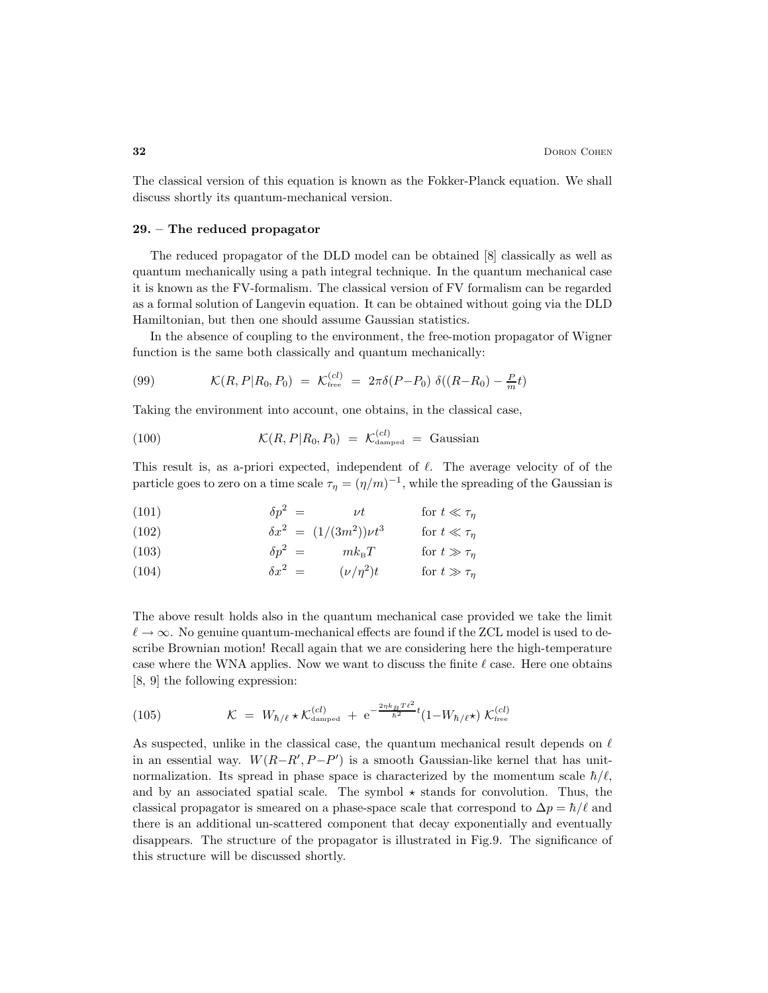The classical version of this equation is known as the Fokker-Planck equation. We shall discuss shortly its quantum-mechanical version.

## 29. – The reduced propagator

The reduced propagator of the DLD model can be obtained [8] classically as well as quantum mechanically using a path integral technique. In the quantum mechanical case it is known as the FV-formalism. The classical version of FV formalism can be regarded as a formal solution of Langevin equation. It can be obtained without going via the DLD Hamiltonian, but then one should assume Gaussian statistics.

In the absence of coupling to the environment, the free-motion propagator of Wigner function is the same both classically and quantum mechanically:

(99) 
$$
\mathcal{K}(R, P | R_0, P_0) = \mathcal{K}_{\text{free}}^{(cl)} = 2\pi \delta(P - P_0) \delta((R - R_0) - \frac{P}{m}t)
$$

Taking the environment into account, one obtains, in the classical case,

(100) 
$$
\mathcal{K}(R, P | R_0, P_0) = \mathcal{K}_{\text{damped}}^{(cl)} = \text{Gaussian}
$$

This result is, as a-priori expected, independent of  $\ell$ . The average velocity of of the particle goes to zero on a time scale  $\tau_{\eta} = (\eta/m)^{-1}$ , while the spreading of the Gaussian is

(101) 
$$
\delta p^2 = \nu t \qquad \text{for } t \ll \tau_\eta
$$

(102) 
$$
\delta x^2 = (1/(3m^2))\nu t^3 \quad \text{for } t \ll \tau_\eta
$$
  
(103) 
$$
\delta p^2 = m k_B T \quad \text{for } t \gg \tau_\eta
$$

(104) 
$$
\delta x^2 = (\nu/\eta^2)t \quad \text{for } t \gg \tau_\eta
$$

The above result holds also in the quantum mechanical case provided we take the limit  $\ell \to \infty$ . No genuine quantum-mechanical effects are found if the ZCL model is used to describe Brownian motion! Recall again that we are considering here the high-temperature case where the WNA applies. Now we want to discuss the finite  $\ell$  case. Here one obtains [8, 9] the following expression:

(105) 
$$
\mathcal{K} = W_{\hbar/\ell} \star \mathcal{K}_{\text{damped}}^{(cl)} + e^{-\frac{2\eta k_B T \ell^2}{\hbar^2} t} (1 - W_{\hbar/\ell} \star) \; \mathcal{K}_{\text{free}}^{(cl)}
$$

As suspected, unlike in the classical case, the quantum mechanical result depends on  $\ell$ in an essential way.  $W(R-R', P-P')$  is a smooth Gaussian-like kernel that has unitnormalization. Its spread in phase space is characterized by the momentum scale  $\hbar/\ell$ , and by an associated spatial scale. The symbol  $\star$  stands for convolution. Thus, the classical propagator is smeared on a phase-space scale that correspond to  $\Delta p = \hbar/\ell$  and there is an additional un-scattered component that decay exponentially and eventually disappears. The structure of the propagator is illustrated in Fig.9. The significance of this structure will be discussed shortly.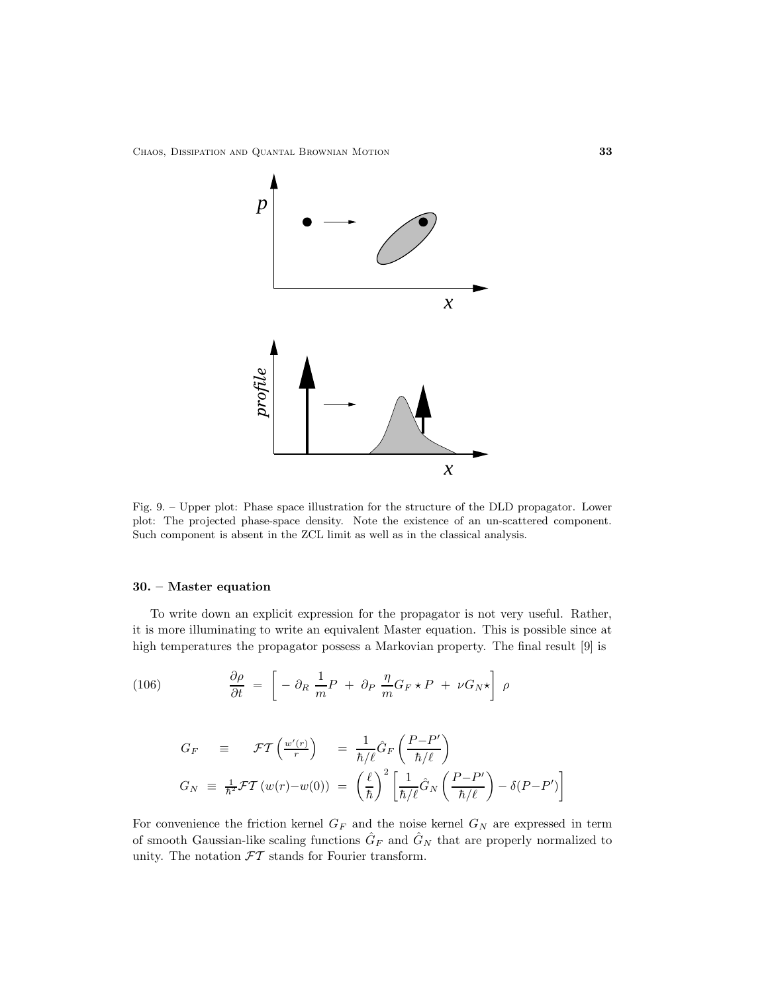

Fig. 9. – Upper plot: Phase space illustration for the structure of the DLD propagator. Lower plot: The projected phase-space density. Note the existence of an un-scattered component. Such component is absent in the ZCL limit as well as in the classical analysis.

## 30. – Master equation

To write down an explicit expression for the propagator is not very useful. Rather, it is more illuminating to write an equivalent Master equation. This is possible since at high temperatures the propagator possess a Markovian property. The final result [9] is

(106) 
$$
\frac{\partial \rho}{\partial t} = \left[ -\partial_R \frac{1}{m} P + \partial_P \frac{\eta}{m} G_F \star P + \nu G_N \star \right] \rho
$$

$$
G_F \equiv \mathcal{F}T\left(\frac{w'(r)}{r}\right) = \frac{1}{\hbar/\ell}\hat{G}_F\left(\frac{P-P'}{\hbar/\ell}\right)
$$
  

$$
G_N \equiv \frac{1}{\hbar^2}\mathcal{F}T\left(w(r)-w(0)\right) = \left(\frac{\ell}{\hbar}\right)^2 \left[\frac{1}{\hbar/\ell}\hat{G}_N\left(\frac{P-P'}{\hbar/\ell}\right) - \delta(P-P')\right]
$$

For convenience the friction kernel  $G_F$  and the noise kernel  $G_N$  are expressed in term of smooth Gaussian-like scaling functions  $\hat{G}_F$  and  $\hat{G}_N$  that are properly normalized to unity. The notation  $FT$  stands for Fourier transform.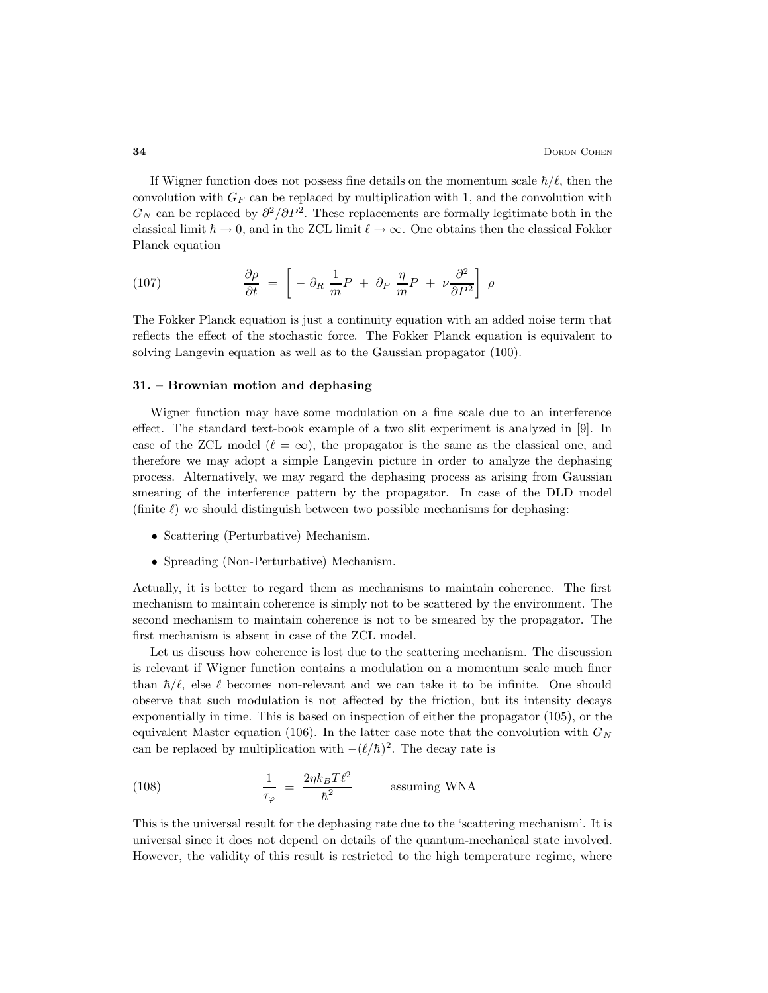If Wigner function does not possess fine details on the momentum scale  $\hbar/\ell$ , then the convolution with  $G_F$  can be replaced by multiplication with 1, and the convolution with  $G_N$  can be replaced by  $\partial^2/\partial P^2$ . These replacements are formally legitimate both in the classical limit  $\hbar \to 0$ , and in the ZCL limit  $\ell \to \infty$ . One obtains then the classical Fokker Planck equation

(107) 
$$
\frac{\partial \rho}{\partial t} = \left[ -\partial_R \frac{1}{m} P + \partial_P \frac{\eta}{m} P + \nu \frac{\partial^2}{\partial P^2} \right] \rho
$$

The Fokker Planck equation is just a continuity equation with an added noise term that reflects the effect of the stochastic force. The Fokker Planck equation is equivalent to solving Langevin equation as well as to the Gaussian propagator (100).

## 31. – Brownian motion and dephasing

Wigner function may have some modulation on a fine scale due to an interference effect. The standard text-book example of a two slit experiment is analyzed in [9]. In case of the ZCL model  $(\ell = \infty)$ , the propagator is the same as the classical one, and therefore we may adopt a simple Langevin picture in order to analyze the dephasing process. Alternatively, we may regard the dephasing process as arising from Gaussian smearing of the interference pattern by the propagator. In case of the DLD model (finite  $\ell$ ) we should distinguish between two possible mechanisms for dephasing:

- Scattering (Perturbative) Mechanism.
- Spreading (Non-Perturbative) Mechanism.

Actually, it is better to regard them as mechanisms to maintain coherence. The first mechanism to maintain coherence is simply not to be scattered by the environment. The second mechanism to maintain coherence is not to be smeared by the propagator. The first mechanism is absent in case of the ZCL model.

Let us discuss how coherence is lost due to the scattering mechanism. The discussion is relevant if Wigner function contains a modulation on a momentum scale much finer than  $\hbar/\ell$ , else  $\ell$  becomes non-relevant and we can take it to be infinite. One should observe that such modulation is not affected by the friction, but its intensity decays exponentially in time. This is based on inspection of either the propagator (105), or the equivalent Master equation (106). In the latter case note that the convolution with  $G_N$ can be replaced by multiplication with  $-(\ell/\hbar)^2$ . The decay rate is

(108) 
$$
\frac{1}{\tau_{\varphi}} = \frac{2\eta k_B T \ell^2}{\hbar^2}
$$
 assuming WNA

This is the universal result for the dephasing rate due to the 'scattering mechanism'. It is universal since it does not depend on details of the quantum-mechanical state involved. However, the validity of this result is restricted to the high temperature regime, where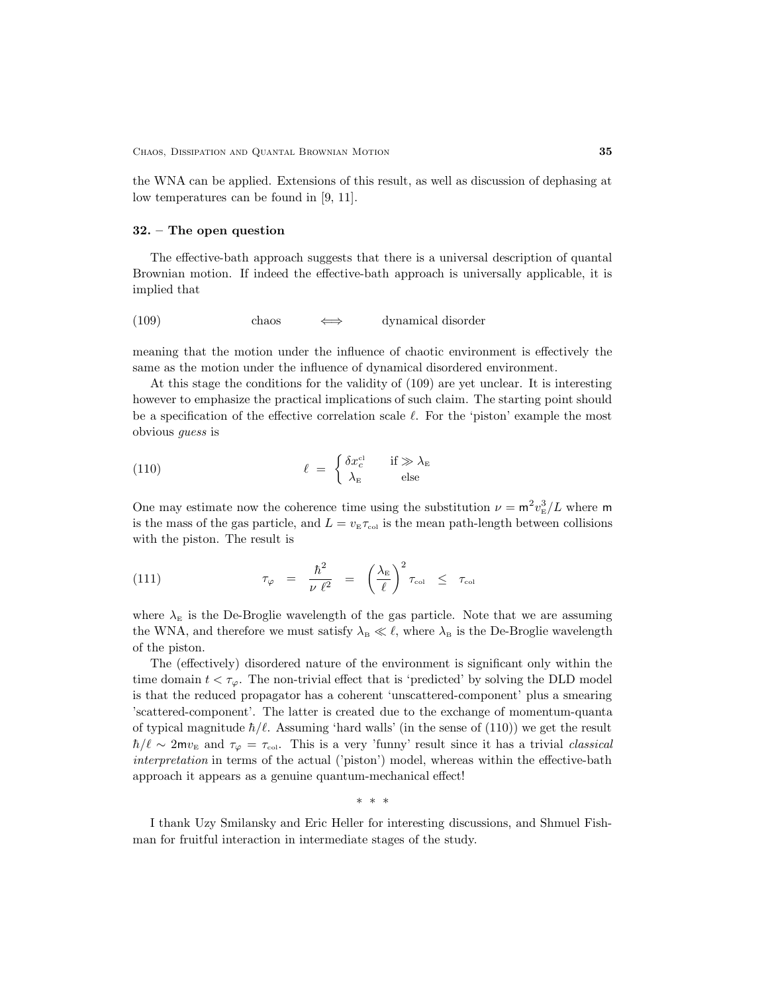the WNA can be applied. Extensions of this result, as well as discussion of dephasing at low temperatures can be found in [9, 11].

#### 32. – The open question

The effective-bath approach suggests that there is a universal description of quantal Brownian motion. If indeed the effective-bath approach is universally applicable, it is implied that

## (109) chaos  $\iff$  dynamical disorder

meaning that the motion under the influence of chaotic environment is effectively the same as the motion under the influence of dynamical disordered environment.

At this stage the conditions for the validity of (109) are yet unclear. It is interesting however to emphasize the practical implications of such claim. The starting point should be a specification of the effective correlation scale  $\ell$ . For the 'piston' example the most obvious guess is

(110) 
$$
\ell = \begin{cases} \delta x_c^{\text{cl}} & \text{if } \gg \lambda_{\text{E}} \\ \lambda_{\text{E}} & \text{else} \end{cases}
$$

One may estimate now the coherence time using the substitution  $\nu = \frac{m^2 v_{\rm E}^3}{L}$  where m is the mass of the gas particle, and  $L = v_{E} \tau_{col}$  is the mean path-length between collisions with the piston. The result is

(111) 
$$
\tau_{\varphi} = \frac{\hbar^2}{\nu \ell^2} = \left(\frac{\lambda_{\rm E}}{\ell}\right)^2 \tau_{\rm col} \leq \tau_{\rm col}
$$

where  $\lambda_E$  is the De-Broglie wavelength of the gas particle. Note that we are assuming the WNA, and therefore we must satisfy  $\lambda_B \ll \ell$ , where  $\lambda_B$  is the De-Broglie wavelength of the piston.

The (effectively) disordered nature of the environment is significant only within the time domain  $t < \tau_{\varphi}$ . The non-trivial effect that is 'predicted' by solving the DLD model is that the reduced propagator has a coherent 'unscattered-component' plus a smearing 'scattered-component'. The latter is created due to the exchange of momentum-quanta of typical magnitude  $\hbar/\ell$ . Assuming 'hard walls' (in the sense of (110)) we get the result  $\hbar/\ell \sim 2m v_{\rm E}$  and  $\tau_{\varphi} = \tau_{\rm col}$ . This is a very 'funny' result since it has a trivial classical interpretation in terms of the actual ('piston') model, whereas within the effective-bath approach it appears as a genuine quantum-mechanical effect!

∗ ∗ ∗

I thank Uzy Smilansky and Eric Heller for interesting discussions, and Shmuel Fishman for fruitful interaction in intermediate stages of the study.